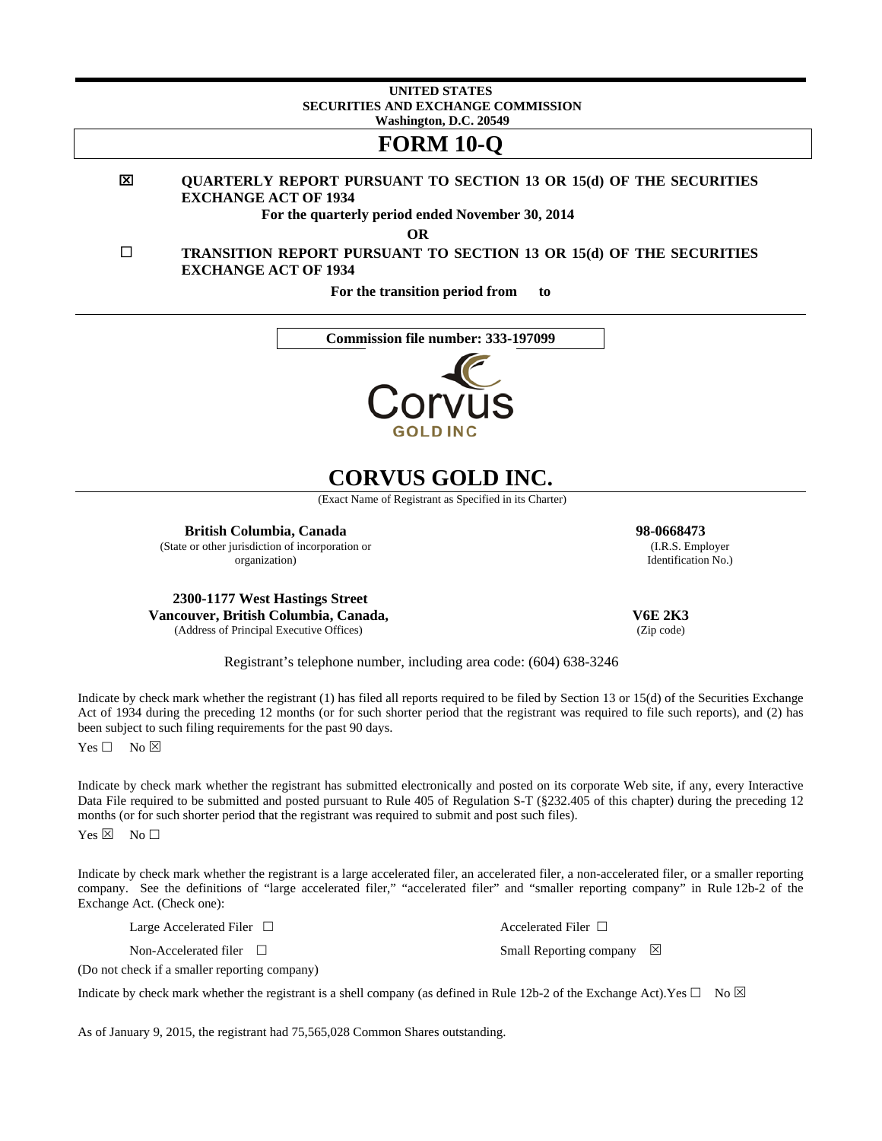#### **UNITED STATES SECURITIES AND EXCHANGE COMMISSION Washington, D.C. 20549**

## **FORM 10-Q**

#### 図 **QUARTERLY REPORT PURSUANT TO SECTION 13 OR 15(d) OF THE SECURITIES EXCHANGE ACT OF 1934**

**For the quarterly period ended November 30, 2014** 

**OR** 

 **TRANSITION REPORT PURSUANT TO SECTION 13 OR 15(d) OF THE SECURITIES EXCHANGE ACT OF 1934** 

**For the transition period from to** 





# **CORVUS GOLD INC.**

(Exact Name of Registrant as Specified in its Charter)

**British Columbia, Canada 98-0668473**  (State or other jurisdiction of incorporation or

organization)

**2300-1177 West Hastings Street Vancouver, British Columbia, Canada,**  (Address of Principal Executive Offices)

 **V6E 2K3** 

Registrant's telephone number, including area code: (604) 638-3246

Indicate by check mark whether the registrant (1) has filed all reports required to be filed by Section 13 or 15(d) of the Securities Exchange Act of 1934 during the preceding 12 months (or for such shorter period that the registrant was required to file such reports), and (2) has been subject to such filing requirements for the past 90 days.

 $Yes \Box No \boxtimes$ 

Indicate by check mark whether the registrant has submitted electronically and posted on its corporate Web site, if any, every Interactive Data File required to be submitted and posted pursuant to Rule 405 of Regulation S-T (§232.405 of this chapter) during the preceding 12 months (or for such shorter period that the registrant was required to submit and post such files).

 $Yes \boxtimes No \Box$ 

Indicate by check mark whether the registrant is a large accelerated filer, an accelerated filer, a non-accelerated filer, or a smaller reporting company. See the definitions of "large accelerated filer," "accelerated filer" and "smaller reporting company" in Rule 12b-2 of the Exchange Act. (Check one):

Large Accelerated Filer  $\Box$ 

Non-Accelerated filer □

(Do not check if a smaller reporting company)

Indicate by check mark whether the registrant is a shell company (as defined in Rule 12b-2 of the Exchange Act).Yes  $\Box$  No  $\boxtimes$ 

Small Reporting company  $\boxtimes$ 

As of January 9, 2015, the registrant had 75,565,028 Common Shares outstanding.

 (I.R.S. Employer Identification No.)

(Zip code)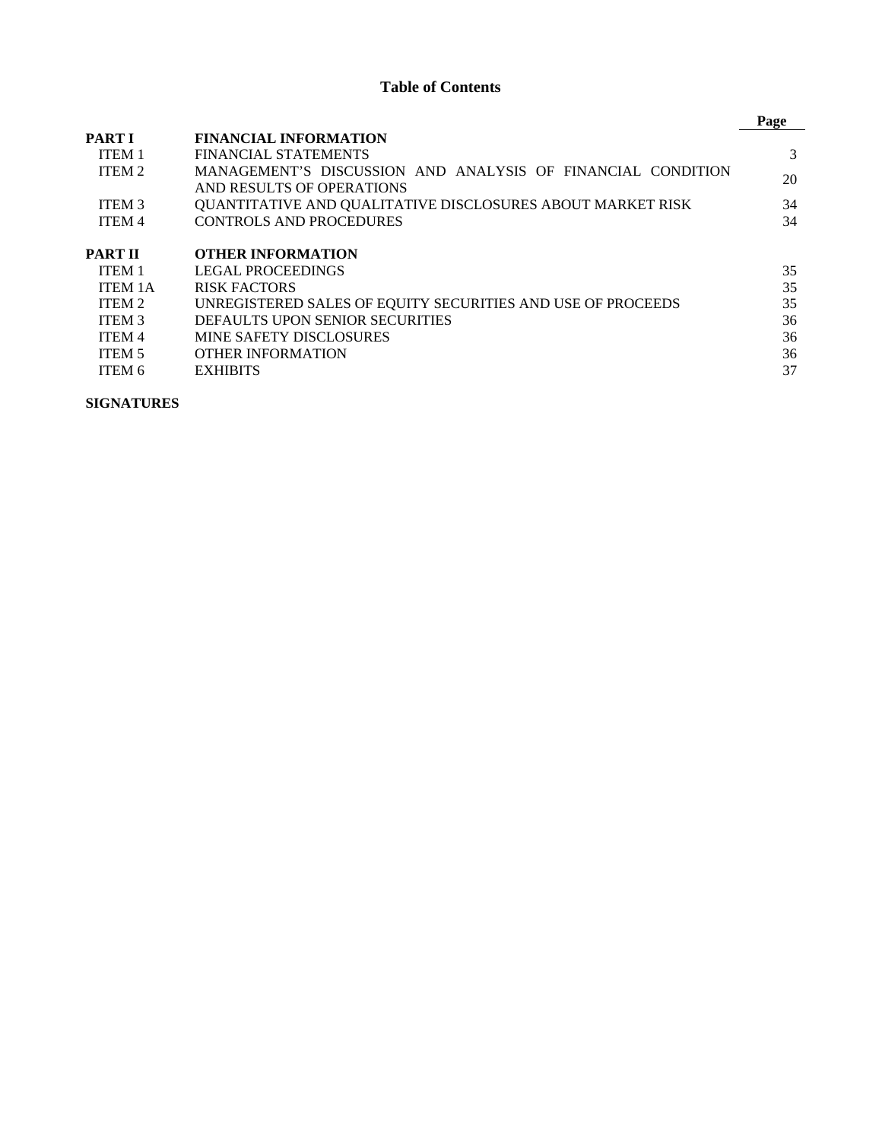## **Table of Contents**

|                   |                                                             | Page |
|-------------------|-------------------------------------------------------------|------|
| <b>PART I</b>     | <b>FINANCIAL INFORMATION</b>                                |      |
| <b>ITEM 1</b>     | FINANCIAL STATEMENTS                                        | 3    |
| ITEM 2            | MANAGEMENT'S DISCUSSION AND ANALYSIS OF FINANCIAL CONDITION | 20   |
|                   | AND RESULTS OF OPERATIONS                                   |      |
| ITEM <sub>3</sub> | QUANTITATIVE AND QUALITATIVE DISCLOSURES ABOUT MARKET RISK  | 34   |
| <b>ITEM4</b>      | <b>CONTROLS AND PROCEDURES</b>                              | 34   |
| PART II           | <b>OTHER INFORMATION</b>                                    |      |
| ITEM <sub>1</sub> | <b>LEGAL PROCEEDINGS</b>                                    | 35   |
| <b>ITEM 1A</b>    | RISK FACTORS                                                | 35   |
| ITEM 2            | UNREGISTERED SALES OF EQUITY SECURITIES AND USE OF PROCEEDS | 35   |
| <b>ITEM 3</b>     | DEFAULTS UPON SENIOR SECURITIES                             | 36   |
| <b>ITEM 4</b>     | <b>MINE SAFETY DISCLOSURES</b>                              | 36   |
| <b>ITEM 5</b>     | OTHER INFORMATION                                           | 36   |
| ITEM 6            | <b>EXHIBITS</b>                                             | 37   |

**SIGNATURES**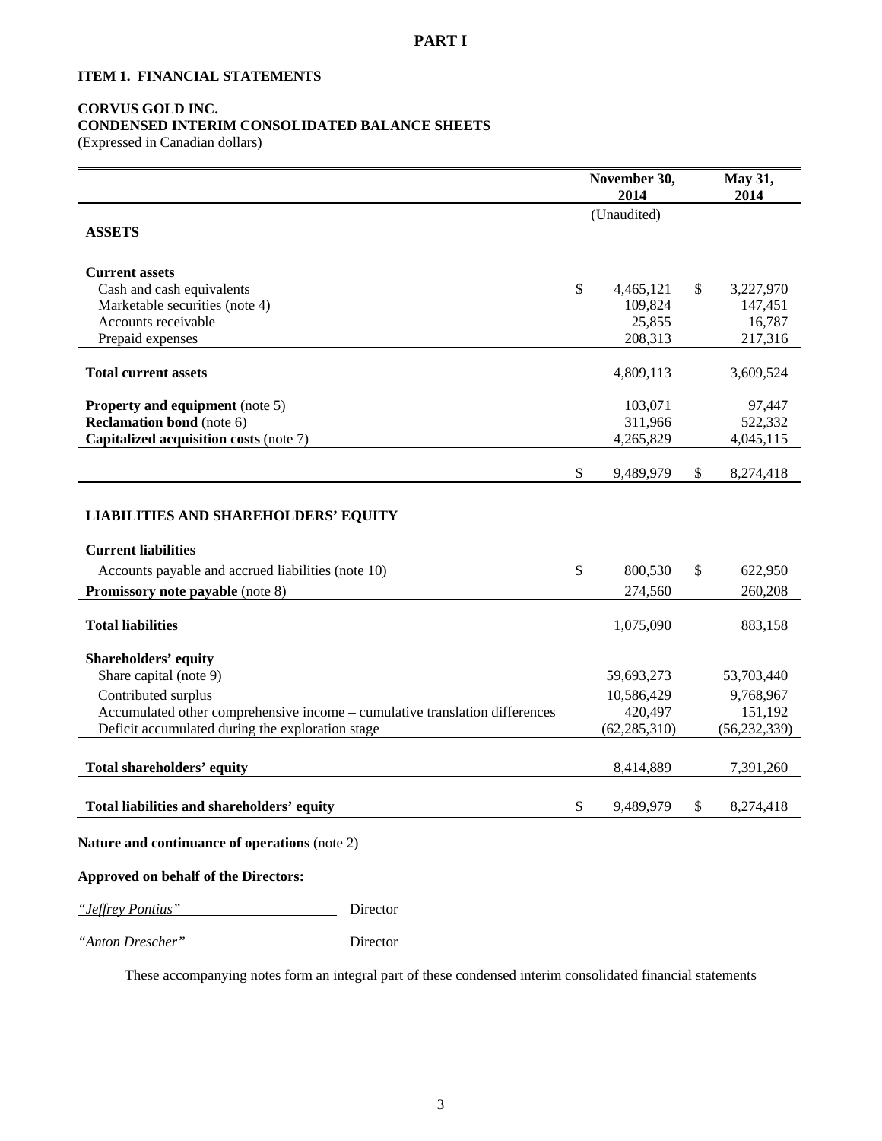## **ITEM 1. FINANCIAL STATEMENTS**

## **CORVUS GOLD INC.**

## **CONDENSED INTERIM CONSOLIDATED BALANCE SHEETS**

*"Anton Drescher"* Director

(Expressed in Canadian dollars)

|                                                                             | November 30,<br>2014 | May 31,<br>2014 |                   |
|-----------------------------------------------------------------------------|----------------------|-----------------|-------------------|
| <b>ASSETS</b>                                                               | (Unaudited)          |                 |                   |
| <b>Current assets</b>                                                       |                      |                 |                   |
| Cash and cash equivalents                                                   | \$<br>4,465,121      | \$              | 3,227,970         |
| Marketable securities (note 4)                                              | 109,824              |                 | 147,451           |
| Accounts receivable<br>Prepaid expenses                                     | 25,855<br>208,313    |                 | 16,787<br>217,316 |
|                                                                             |                      |                 |                   |
| <b>Total current assets</b>                                                 | 4,809,113            |                 | 3,609,524         |
| <b>Property and equipment</b> (note 5)                                      | 103,071              |                 | 97,447            |
| <b>Reclamation bond</b> (note 6)                                            | 311,966              |                 | 522,332           |
| Capitalized acquisition costs (note 7)                                      | 4,265,829            |                 | 4,045,115         |
|                                                                             | \$<br>9,489,979      | \$              | 8,274,418         |
| <b>LIABILITIES AND SHAREHOLDERS' EQUITY</b>                                 |                      |                 |                   |
| <b>Current liabilities</b>                                                  |                      |                 |                   |
| Accounts payable and accrued liabilities (note 10)                          | \$<br>800,530        | \$              | 622,950           |
| Promissory note payable (note 8)                                            | 274,560              |                 | 260,208           |
| <b>Total liabilities</b>                                                    | 1,075,090            |                 | 883,158           |
| Shareholders' equity                                                        |                      |                 |                   |
| Share capital (note 9)                                                      | 59,693,273           |                 | 53,703,440        |
| Contributed surplus                                                         | 10,586,429           |                 | 9,768,967         |
| Accumulated other comprehensive income - cumulative translation differences | 420,497              |                 | 151,192           |
| Deficit accumulated during the exploration stage                            | (62, 285, 310)       |                 | (56, 232, 339)    |
| Total shareholders' equity                                                  | 8,414,889            |                 | 7,391,260         |
| Total liabilities and shareholders' equity                                  | \$<br>9,489,979      | \$              | 8,274,418         |
|                                                                             |                      |                 |                   |
| Nature and continuance of operations (note 2)                               |                      |                 |                   |
| Approved on behalf of the Directors:                                        |                      |                 |                   |
| <i>"Jeffrey Pontius"</i><br>Director                                        |                      |                 |                   |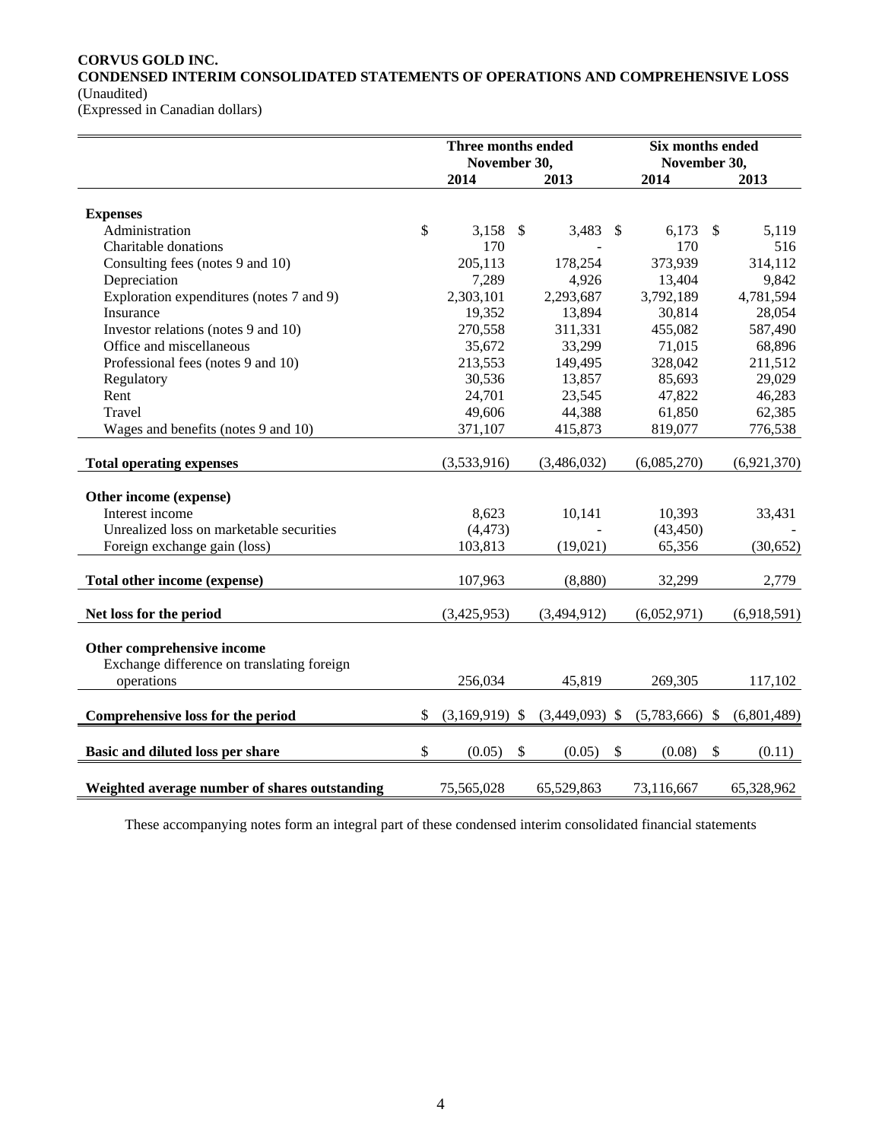## **CORVUS GOLD INC.**

**CONDENSED INTERIM CONSOLIDATED STATEMENTS OF OPERATIONS AND COMPREHENSIVE LOSS**  (Unaudited)

(Expressed in Canadian dollars)

|                                               |    | Three months ended<br>November 30, |                           |                  |                           | Six months ended<br>November 30, |                           |             |
|-----------------------------------------------|----|------------------------------------|---------------------------|------------------|---------------------------|----------------------------------|---------------------------|-------------|
|                                               |    | 2014                               |                           | 2013             |                           | 2014                             |                           | 2013        |
|                                               |    |                                    |                           |                  |                           |                                  |                           |             |
| <b>Expenses</b>                               | \$ |                                    |                           |                  |                           |                                  |                           | 5,119       |
| Administration                                |    | 3,158<br>170                       | - \$                      | 3,483            | - \$                      | 6,173<br>170                     | $\mathbb{S}$              |             |
| Charitable donations                          |    | 205,113                            |                           |                  |                           |                                  |                           | 516         |
| Consulting fees (notes 9 and 10)              |    |                                    |                           | 178,254          |                           | 373,939                          |                           | 314,112     |
| Depreciation                                  |    | 7,289                              |                           | 4,926            |                           | 13,404                           |                           | 9,842       |
| Exploration expenditures (notes 7 and 9)      |    | 2,303,101                          |                           | 2,293,687        |                           | 3,792,189                        |                           | 4,781,594   |
| Insurance                                     |    | 19,352                             |                           | 13,894           |                           | 30,814                           |                           | 28,054      |
| Investor relations (notes 9 and 10)           |    | 270,558                            |                           | 311,331          |                           | 455,082                          |                           | 587,490     |
| Office and miscellaneous                      |    | 35,672                             |                           | 33,299           |                           | 71,015                           |                           | 68,896      |
| Professional fees (notes 9 and 10)            |    | 213,553                            |                           | 149,495          |                           | 328,042                          |                           | 211,512     |
| Regulatory                                    |    | 30,536                             |                           | 13,857           |                           | 85,693                           |                           | 29,029      |
| Rent                                          |    | 24,701                             |                           | 23,545           |                           | 47,822                           |                           | 46,283      |
| Travel                                        |    | 49,606                             |                           | 44,388           |                           | 61,850                           |                           | 62,385      |
| Wages and benefits (notes 9 and 10)           |    | 371,107                            |                           | 415,873          |                           | 819,077                          |                           | 776,538     |
| <b>Total operating expenses</b>               |    | (3,533,916)                        |                           | (3,486,032)      |                           | (6,085,270)                      |                           | (6,921,370) |
| Other income (expense)                        |    |                                    |                           |                  |                           |                                  |                           |             |
| Interest income                               |    | 8,623                              |                           | 10,141           |                           | 10,393                           |                           | 33,431      |
| Unrealized loss on marketable securities      |    | (4, 473)                           |                           |                  |                           | (43, 450)                        |                           |             |
| Foreign exchange gain (loss)                  |    | 103,813                            |                           | (19,021)         |                           | 65,356                           |                           | (30, 652)   |
|                                               |    |                                    |                           |                  |                           |                                  |                           |             |
| Total other income (expense)                  |    | 107,963                            |                           | (8,880)          |                           | 32,299                           |                           | 2,779       |
| Net loss for the period                       |    | (3,425,953)                        |                           | (3,494,912)      |                           | (6,052,971)                      |                           | (6,918,591) |
|                                               |    |                                    |                           |                  |                           |                                  |                           |             |
| Other comprehensive income                    |    |                                    |                           |                  |                           |                                  |                           |             |
| Exchange difference on translating foreign    |    |                                    |                           |                  |                           |                                  |                           |             |
| operations                                    |    | 256,034                            |                           | 45,819           |                           | 269,305                          |                           | 117,102     |
| Comprehensive loss for the period             | S  | $(3,169,919)$ \$                   |                           | $(3,449,093)$ \$ |                           | $(5,783,666)$ \$                 |                           | (6,801,489) |
|                                               |    |                                    |                           |                  |                           |                                  |                           |             |
| Basic and diluted loss per share              | \$ | (0.05)                             | $\boldsymbol{\mathsf{S}}$ | (0.05)           | $\boldsymbol{\mathsf{S}}$ | (0.08)                           | $\boldsymbol{\mathsf{S}}$ | (0.11)      |
| Weighted average number of shares outstanding |    | 75,565,028                         |                           | 65,529,863       |                           | 73,116,667                       |                           | 65,328,962  |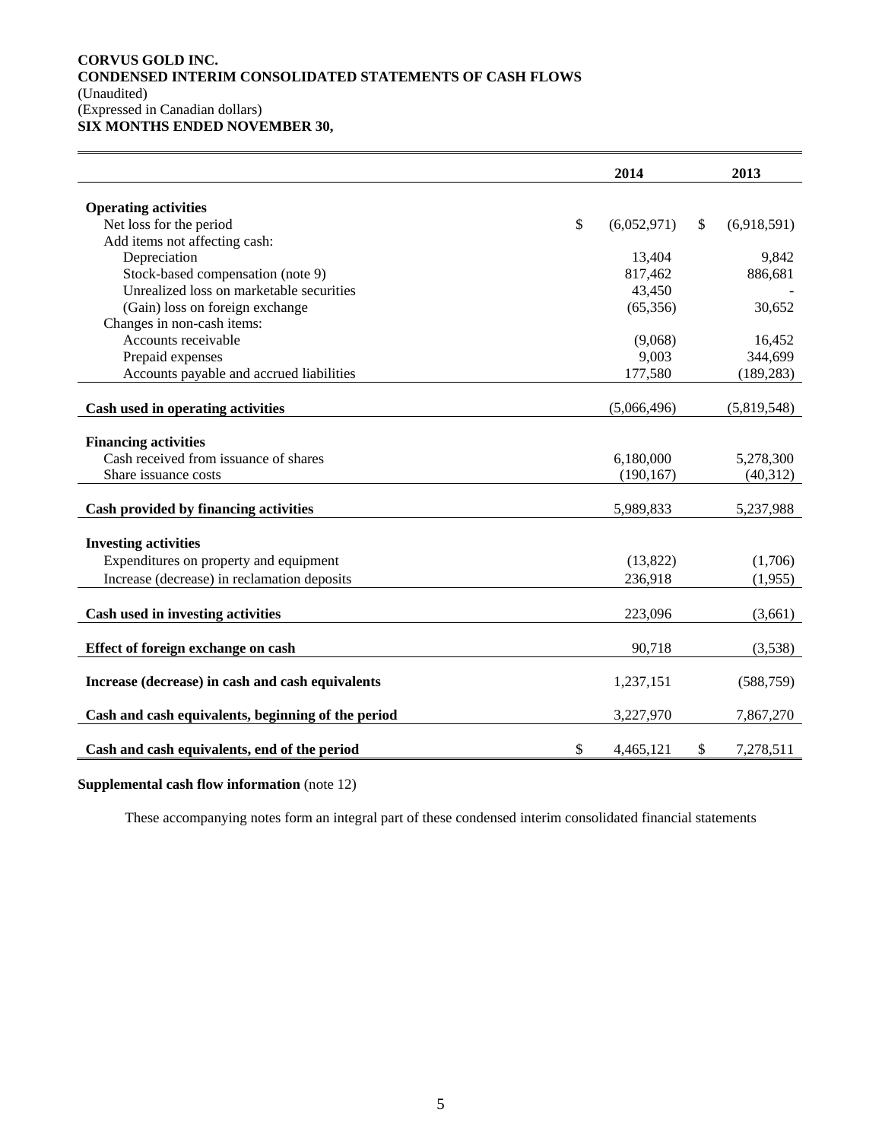## **CORVUS GOLD INC. CONDENSED INTERIM CONSOLIDATED STATEMENTS OF CASH FLOWS**  (Unaudited) (Expressed in Canadian dollars)

**SIX MONTHS ENDED NOVEMBER 30,** 

|                                                    |                           | 2014        | 2013              |
|----------------------------------------------------|---------------------------|-------------|-------------------|
| <b>Operating activities</b>                        |                           |             |                   |
| Net loss for the period                            | $\boldsymbol{\mathsf{S}}$ | (6,052,971) | \$<br>(6,918,591) |
| Add items not affecting cash:                      |                           |             |                   |
| Depreciation                                       |                           | 13,404      | 9,842             |
| Stock-based compensation (note 9)                  |                           | 817,462     | 886,681           |
| Unrealized loss on marketable securities           |                           | 43,450      |                   |
| (Gain) loss on foreign exchange                    |                           | (65,356)    | 30,652            |
| Changes in non-cash items:                         |                           |             |                   |
| Accounts receivable                                |                           | (9,068)     | 16,452            |
| Prepaid expenses                                   |                           | 9,003       | 344,699           |
| Accounts payable and accrued liabilities           |                           | 177,580     | (189, 283)        |
|                                                    |                           |             |                   |
| Cash used in operating activities                  |                           | (5,066,496) | (5,819,548)       |
| <b>Financing activities</b>                        |                           |             |                   |
| Cash received from issuance of shares              |                           | 6,180,000   | 5,278,300         |
| Share issuance costs                               |                           | (190, 167)  | (40,312)          |
|                                                    |                           |             |                   |
| Cash provided by financing activities              |                           | 5,989,833   | 5,237,988         |
|                                                    |                           |             |                   |
| <b>Investing activities</b>                        |                           |             |                   |
| Expenditures on property and equipment             |                           | (13,822)    | (1,706)           |
| Increase (decrease) in reclamation deposits        |                           | 236,918     | (1,955)           |
|                                                    |                           |             |                   |
| Cash used in investing activities                  |                           | 223,096     | (3,661)           |
| Effect of foreign exchange on cash                 |                           | 90,718      | (3,538)           |
|                                                    |                           |             |                   |
| Increase (decrease) in cash and cash equivalents   |                           | 1,237,151   | (588, 759)        |
| Cash and cash equivalents, beginning of the period |                           | 3,227,970   | 7,867,270         |
|                                                    |                           |             |                   |
| Cash and cash equivalents, end of the period       | \$                        | 4,465,121   | \$<br>7,278,511   |

**Supplemental cash flow information** (note 12)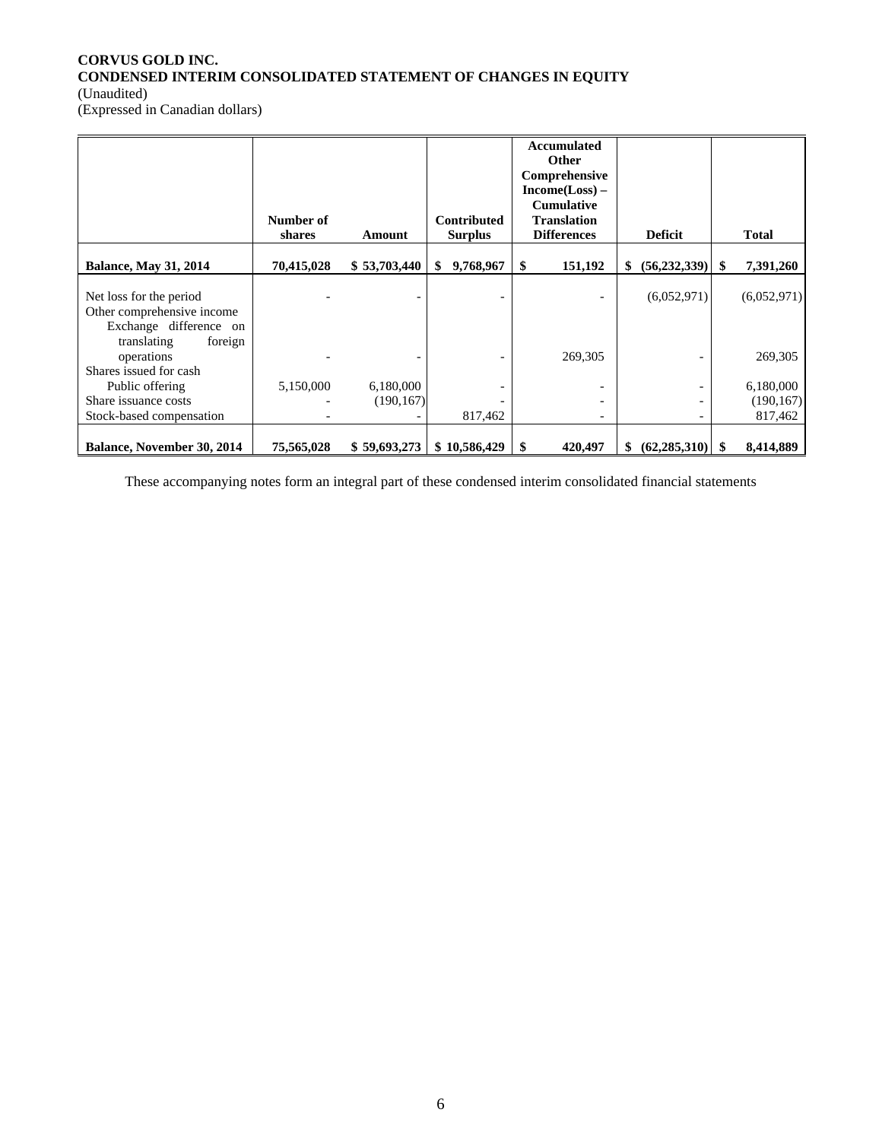## **CORVUS GOLD INC. CONDENSED INTERIM CONSOLIDATED STATEMENT OF CHANGES IN EQUITY**  (Unaudited)

(Expressed in Canadian dollars)

|                                                                                 | Number of<br>shares | Amount       | <b>Contributed</b><br><b>Surplus</b> | Accumulated<br>Other<br>Comprehensive<br>Income(Loss) –<br><b>Cumulative</b><br><b>Translation</b><br><b>Differences</b> | <b>Deficit</b>       |      | <b>Total</b> |
|---------------------------------------------------------------------------------|---------------------|--------------|--------------------------------------|--------------------------------------------------------------------------------------------------------------------------|----------------------|------|--------------|
| <b>Balance, May 31, 2014</b>                                                    | 70,415,028          | \$53,703,440 | 9,768,967<br>\$                      | \$<br>151,192                                                                                                            | (56, 232, 339)<br>\$ | \$   | 7,391,260    |
| Net loss for the period<br>Other comprehensive income<br>Exchange difference on |                     |              |                                      |                                                                                                                          | (6,052,971)          |      | (6,052,971)  |
| translating<br>foreign<br>operations<br>Shares issued for cash                  |                     |              |                                      | 269,305                                                                                                                  |                      |      | 269,305      |
| Public offering                                                                 | 5,150,000           | 6,180,000    |                                      |                                                                                                                          |                      |      | 6,180,000    |
| Share issuance costs                                                            |                     | (190, 167)   |                                      |                                                                                                                          |                      |      | (190, 167)   |
| Stock-based compensation                                                        |                     |              | 817,462                              | $\overline{\phantom{0}}$                                                                                                 | -                    |      | 817,462      |
| <b>Balance, November 30, 2014</b>                                               | 75,565,028          | \$59,693,273 | \$10,586,429                         | -\$<br>420,497                                                                                                           | \$<br>(62, 285, 310) | - \$ | 8,414,889    |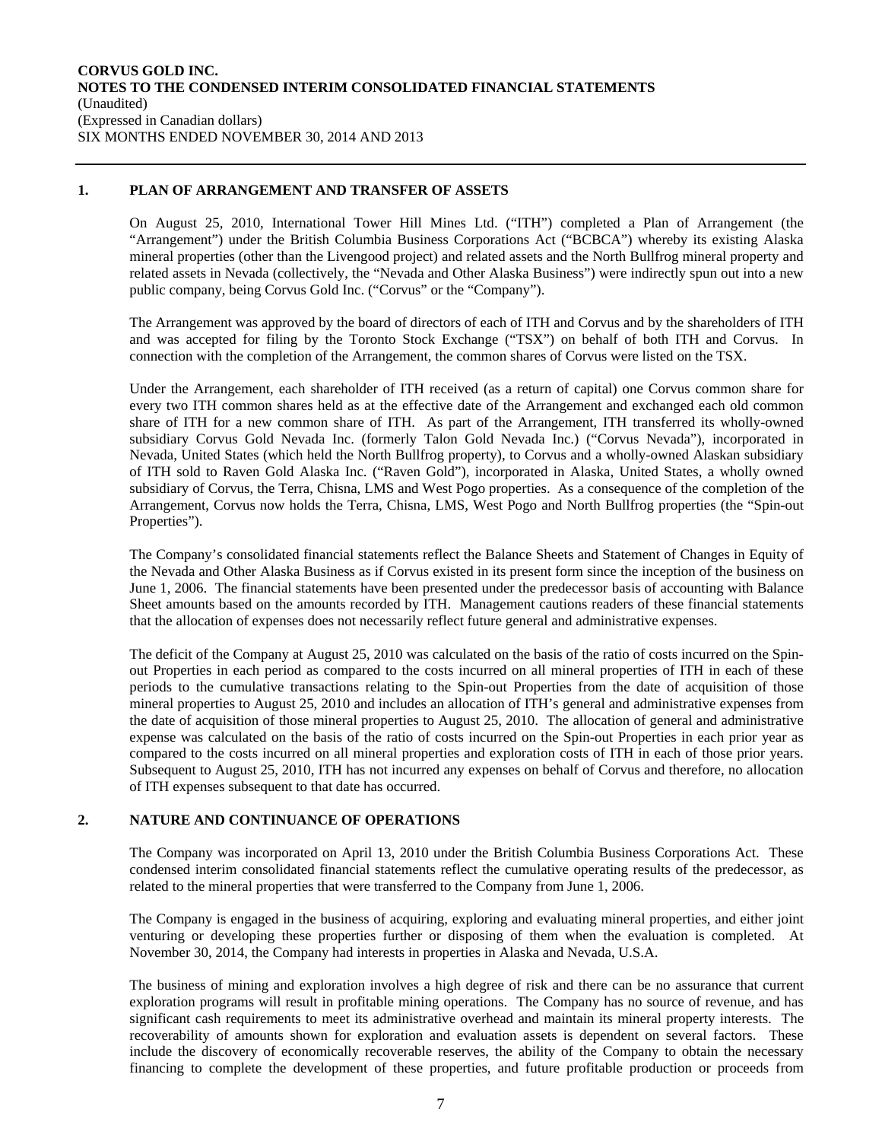## **1. PLAN OF ARRANGEMENT AND TRANSFER OF ASSETS**

On August 25, 2010, International Tower Hill Mines Ltd. ("ITH") completed a Plan of Arrangement (the "Arrangement") under the British Columbia Business Corporations Act ("BCBCA") whereby its existing Alaska mineral properties (other than the Livengood project) and related assets and the North Bullfrog mineral property and related assets in Nevada (collectively, the "Nevada and Other Alaska Business") were indirectly spun out into a new public company, being Corvus Gold Inc. ("Corvus" or the "Company").

The Arrangement was approved by the board of directors of each of ITH and Corvus and by the shareholders of ITH and was accepted for filing by the Toronto Stock Exchange ("TSX") on behalf of both ITH and Corvus. In connection with the completion of the Arrangement, the common shares of Corvus were listed on the TSX.

Under the Arrangement, each shareholder of ITH received (as a return of capital) one Corvus common share for every two ITH common shares held as at the effective date of the Arrangement and exchanged each old common share of ITH for a new common share of ITH. As part of the Arrangement, ITH transferred its wholly-owned subsidiary Corvus Gold Nevada Inc. (formerly Talon Gold Nevada Inc.) ("Corvus Nevada"), incorporated in Nevada, United States (which held the North Bullfrog property), to Corvus and a wholly-owned Alaskan subsidiary of ITH sold to Raven Gold Alaska Inc. ("Raven Gold"), incorporated in Alaska, United States, a wholly owned subsidiary of Corvus, the Terra, Chisna, LMS and West Pogo properties. As a consequence of the completion of the Arrangement, Corvus now holds the Terra, Chisna, LMS, West Pogo and North Bullfrog properties (the "Spin-out Properties").

The Company's consolidated financial statements reflect the Balance Sheets and Statement of Changes in Equity of the Nevada and Other Alaska Business as if Corvus existed in its present form since the inception of the business on June 1, 2006. The financial statements have been presented under the predecessor basis of accounting with Balance Sheet amounts based on the amounts recorded by ITH. Management cautions readers of these financial statements that the allocation of expenses does not necessarily reflect future general and administrative expenses.

The deficit of the Company at August 25, 2010 was calculated on the basis of the ratio of costs incurred on the Spinout Properties in each period as compared to the costs incurred on all mineral properties of ITH in each of these periods to the cumulative transactions relating to the Spin-out Properties from the date of acquisition of those mineral properties to August 25, 2010 and includes an allocation of ITH's general and administrative expenses from the date of acquisition of those mineral properties to August 25, 2010. The allocation of general and administrative expense was calculated on the basis of the ratio of costs incurred on the Spin-out Properties in each prior year as compared to the costs incurred on all mineral properties and exploration costs of ITH in each of those prior years. Subsequent to August 25, 2010, ITH has not incurred any expenses on behalf of Corvus and therefore, no allocation of ITH expenses subsequent to that date has occurred.

## **2. NATURE AND CONTINUANCE OF OPERATIONS**

The Company was incorporated on April 13, 2010 under the British Columbia Business Corporations Act. These condensed interim consolidated financial statements reflect the cumulative operating results of the predecessor, as related to the mineral properties that were transferred to the Company from June 1, 2006.

The Company is engaged in the business of acquiring, exploring and evaluating mineral properties, and either joint venturing or developing these properties further or disposing of them when the evaluation is completed. At November 30, 2014, the Company had interests in properties in Alaska and Nevada, U.S.A.

The business of mining and exploration involves a high degree of risk and there can be no assurance that current exploration programs will result in profitable mining operations. The Company has no source of revenue, and has significant cash requirements to meet its administrative overhead and maintain its mineral property interests. The recoverability of amounts shown for exploration and evaluation assets is dependent on several factors. These include the discovery of economically recoverable reserves, the ability of the Company to obtain the necessary financing to complete the development of these properties, and future profitable production or proceeds from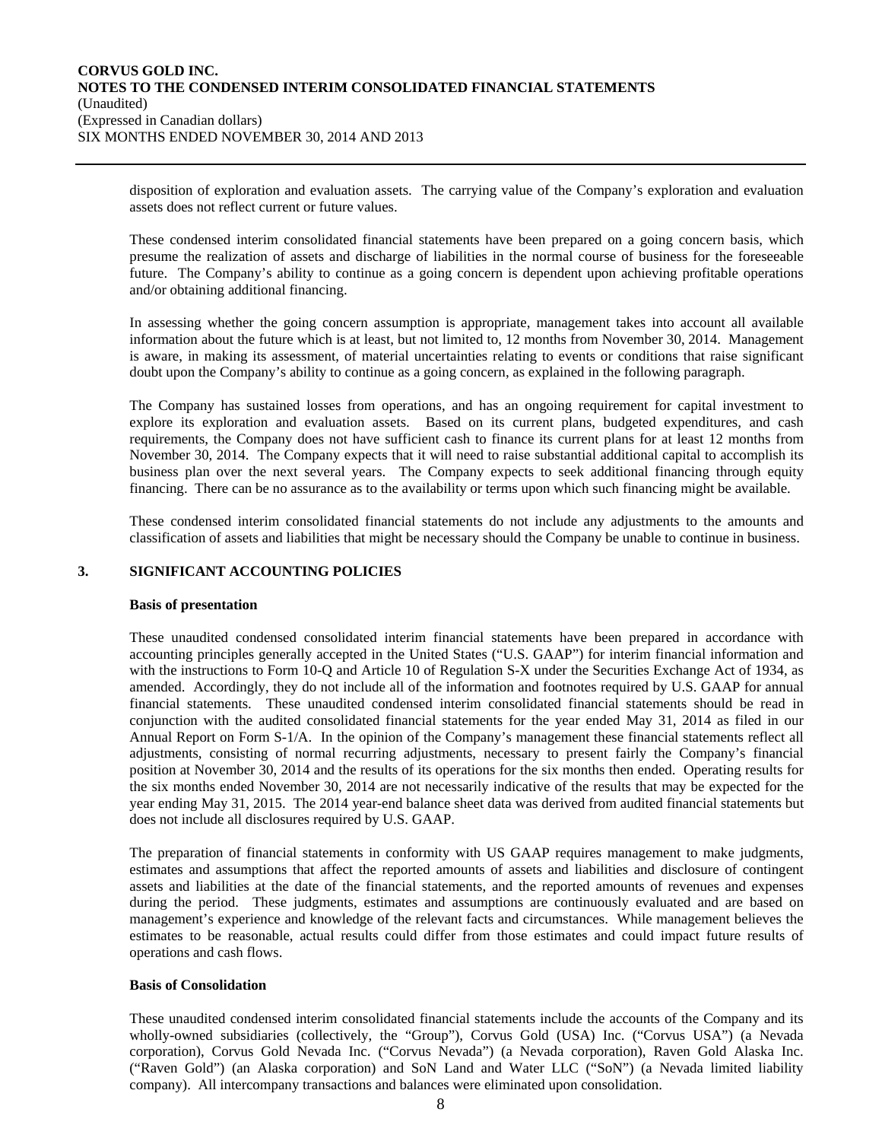disposition of exploration and evaluation assets. The carrying value of the Company's exploration and evaluation assets does not reflect current or future values.

These condensed interim consolidated financial statements have been prepared on a going concern basis, which presume the realization of assets and discharge of liabilities in the normal course of business for the foreseeable future. The Company's ability to continue as a going concern is dependent upon achieving profitable operations and/or obtaining additional financing.

In assessing whether the going concern assumption is appropriate, management takes into account all available information about the future which is at least, but not limited to, 12 months from November 30, 2014. Management is aware, in making its assessment, of material uncertainties relating to events or conditions that raise significant doubt upon the Company's ability to continue as a going concern, as explained in the following paragraph.

The Company has sustained losses from operations, and has an ongoing requirement for capital investment to explore its exploration and evaluation assets. Based on its current plans, budgeted expenditures, and cash requirements, the Company does not have sufficient cash to finance its current plans for at least 12 months from November 30, 2014. The Company expects that it will need to raise substantial additional capital to accomplish its business plan over the next several years. The Company expects to seek additional financing through equity financing. There can be no assurance as to the availability or terms upon which such financing might be available.

These condensed interim consolidated financial statements do not include any adjustments to the amounts and classification of assets and liabilities that might be necessary should the Company be unable to continue in business.

## **3. SIGNIFICANT ACCOUNTING POLICIES**

#### **Basis of presentation**

These unaudited condensed consolidated interim financial statements have been prepared in accordance with accounting principles generally accepted in the United States ("U.S. GAAP") for interim financial information and with the instructions to Form 10-Q and Article 10 of Regulation S-X under the Securities Exchange Act of 1934, as amended. Accordingly, they do not include all of the information and footnotes required by U.S. GAAP for annual financial statements. These unaudited condensed interim consolidated financial statements should be read in conjunction with the audited consolidated financial statements for the year ended May 31, 2014 as filed in our Annual Report on Form S-1/A. In the opinion of the Company's management these financial statements reflect all adjustments, consisting of normal recurring adjustments, necessary to present fairly the Company's financial position at November 30, 2014 and the results of its operations for the six months then ended. Operating results for the six months ended November 30, 2014 are not necessarily indicative of the results that may be expected for the year ending May 31, 2015. The 2014 year-end balance sheet data was derived from audited financial statements but does not include all disclosures required by U.S. GAAP.

The preparation of financial statements in conformity with US GAAP requires management to make judgments, estimates and assumptions that affect the reported amounts of assets and liabilities and disclosure of contingent assets and liabilities at the date of the financial statements, and the reported amounts of revenues and expenses during the period. These judgments, estimates and assumptions are continuously evaluated and are based on management's experience and knowledge of the relevant facts and circumstances. While management believes the estimates to be reasonable, actual results could differ from those estimates and could impact future results of operations and cash flows.

### **Basis of Consolidation**

These unaudited condensed interim consolidated financial statements include the accounts of the Company and its wholly-owned subsidiaries (collectively, the "Group"), Corvus Gold (USA) Inc. ("Corvus USA") (a Nevada corporation), Corvus Gold Nevada Inc. ("Corvus Nevada") (a Nevada corporation), Raven Gold Alaska Inc. ("Raven Gold") (an Alaska corporation) and SoN Land and Water LLC ("SoN") (a Nevada limited liability company). All intercompany transactions and balances were eliminated upon consolidation.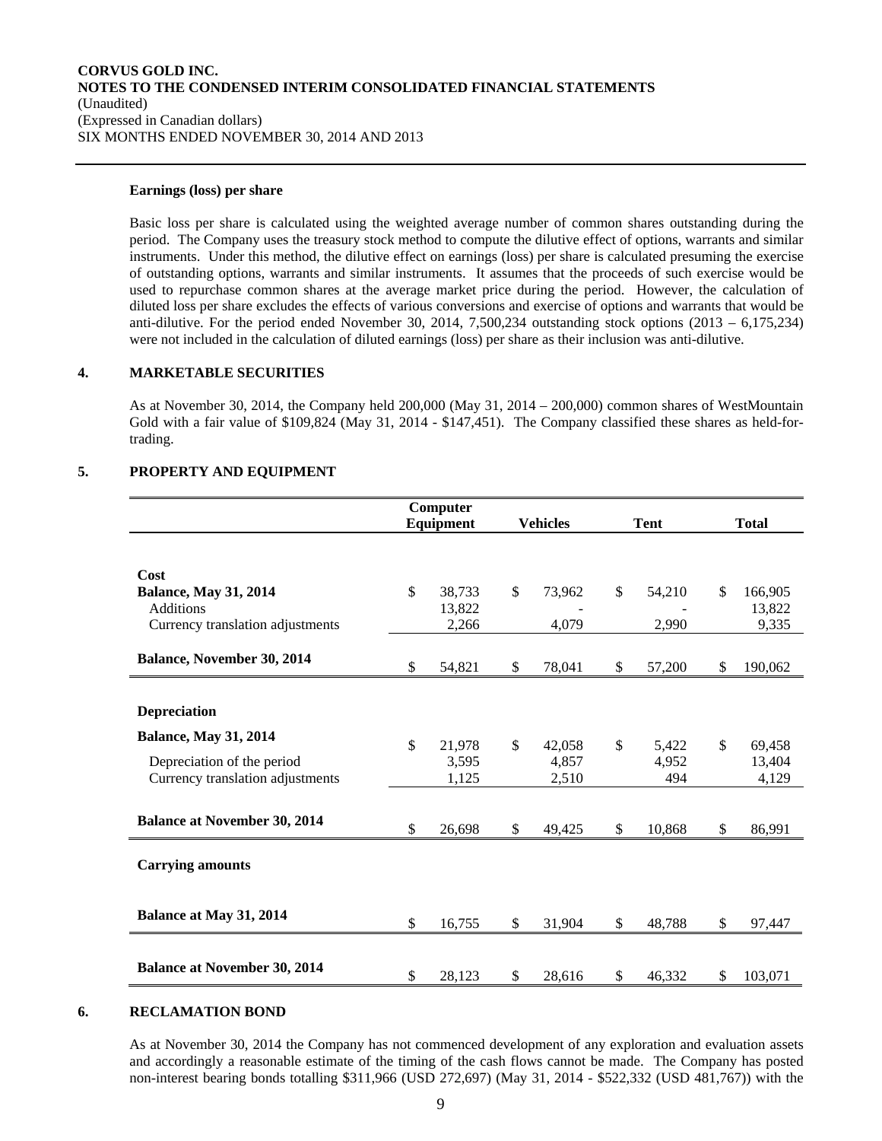#### **Earnings (loss) per share**

Basic loss per share is calculated using the weighted average number of common shares outstanding during the period. The Company uses the treasury stock method to compute the dilutive effect of options, warrants and similar instruments. Under this method, the dilutive effect on earnings (loss) per share is calculated presuming the exercise of outstanding options, warrants and similar instruments. It assumes that the proceeds of such exercise would be used to repurchase common shares at the average market price during the period. However, the calculation of diluted loss per share excludes the effects of various conversions and exercise of options and warrants that would be anti-dilutive. For the period ended November 30, 2014, 7,500,234 outstanding stock options  $(2013 - 6,175,234)$ were not included in the calculation of diluted earnings (loss) per share as their inclusion was anti-dilutive.

## **4. MARKETABLE SECURITIES**

As at November 30, 2014, the Company held 200,000 (May 31, 2014 – 200,000) common shares of WestMountain Gold with a fair value of \$109,824 (May 31, 2014 - \$147,451). The Company classified these shares as held-fortrading.

### **5. PROPERTY AND EQUIPMENT**

|                                     |              | Computer  |              |                 |              |               |
|-------------------------------------|--------------|-----------|--------------|-----------------|--------------|---------------|
|                                     |              | Equipment |              | <b>Vehicles</b> | <b>Tent</b>  | <b>Total</b>  |
|                                     |              |           |              |                 |              |               |
| Cost                                |              |           |              |                 |              |               |
| <b>Balance, May 31, 2014</b>        | $\mathbb{S}$ | 38,733    | $\mathbb{S}$ | 73,962          | \$<br>54,210 | \$<br>166,905 |
| <b>Additions</b>                    |              | 13,822    |              |                 |              | 13,822        |
| Currency translation adjustments    |              | 2,266     |              | 4,079           | 2,990        | 9,335         |
| Balance, November 30, 2014          |              |           |              |                 |              |               |
|                                     | \$           | 54,821    | \$           | 78,041          | \$<br>57,200 | \$<br>190,062 |
|                                     |              |           |              |                 |              |               |
| <b>Depreciation</b>                 |              |           |              |                 |              |               |
| <b>Balance, May 31, 2014</b>        | \$           | 21,978    | $\mathbb{S}$ | 42,058          | \$<br>5,422  | \$<br>69,458  |
| Depreciation of the period          |              | 3,595     |              | 4,857           | 4,952        | 13,404        |
| Currency translation adjustments    |              | 1,125     |              | 2,510           | 494          | 4,129         |
|                                     |              |           |              |                 |              |               |
| <b>Balance at November 30, 2014</b> | \$           | 26,698    | \$           | 49,425          | \$<br>10,868 | \$<br>86,991  |
|                                     |              |           |              |                 |              |               |
| <b>Carrying amounts</b>             |              |           |              |                 |              |               |
|                                     |              |           |              |                 |              |               |
| Balance at May 31, 2014             | \$           | 16,755    | \$           | 31,904          | \$<br>48,788 | \$<br>97,447  |
|                                     |              |           |              |                 |              |               |
|                                     |              |           |              |                 |              |               |
| <b>Balance at November 30, 2014</b> | \$           | 28,123    | \$           | 28,616          | \$<br>46,332 | \$<br>103,071 |

### **6. RECLAMATION BOND**

As at November 30, 2014 the Company has not commenced development of any exploration and evaluation assets and accordingly a reasonable estimate of the timing of the cash flows cannot be made. The Company has posted non-interest bearing bonds totalling \$311,966 (USD 272,697) (May 31, 2014 - \$522,332 (USD 481,767)) with the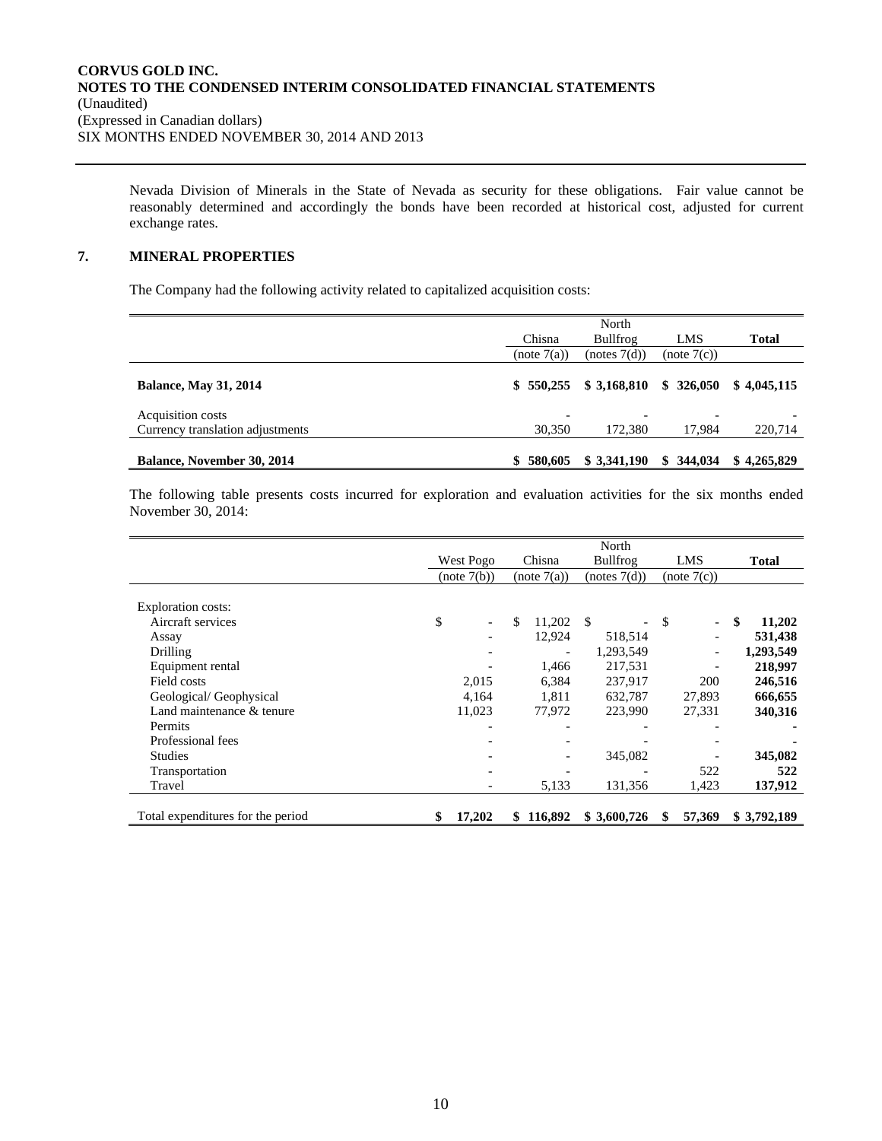Nevada Division of Minerals in the State of Nevada as security for these obligations. Fair value cannot be reasonably determined and accordingly the bonds have been recorded at historical cost, adjusted for current exchange rates.

## **7. MINERAL PROPERTIES**

The Company had the following activity related to capitalized acquisition costs:

|                                   | Chisna                   | North<br>Bullfrog        | LMS         | <b>Total</b> |
|-----------------------------------|--------------------------|--------------------------|-------------|--------------|
|                                   | (note 7(a))              | (notes 7(d))             | (note 7(c)) |              |
| <b>Balance, May 31, 2014</b>      | \$550.255                | \$3,168,810              | \$326.050   | \$4.045.115  |
| Acquisition costs                 | $\overline{\phantom{a}}$ | $\overline{\phantom{0}}$ |             |              |
| Currency translation adjustments  | 30,350                   | 172,380                  | 17.984      | 220,714      |
| <b>Balance, November 30, 2014</b> | \$580,605                | \$3,341,190              | \$344.034   | \$4,265,829  |

The following table presents costs incurred for exploration and evaluation activities for the six months ended November 30, 2014:

|                                   |              |                          |     | North        |    |                          |              |
|-----------------------------------|--------------|--------------------------|-----|--------------|----|--------------------------|--------------|
|                                   | West Pogo    | Chisna                   |     | Bullfrog     |    | LMS                      | <b>Total</b> |
|                                   | (note 7(b))  | (note 7(a))              |     | (notes 7(d)) |    | (note 7(c))              |              |
|                                   |              |                          |     |              |    |                          |              |
| Exploration costs:                |              |                          |     |              |    |                          |              |
| Aircraft services                 | \$           | \$<br>11,202             | -\$ |              | S  | $\overline{\phantom{a}}$ | \$<br>11,202 |
| Assay                             |              | 12,924                   |     | 518,514      |    |                          | 531,438      |
| Drilling                          |              | $\overline{\phantom{a}}$ |     | 1,293,549    |    | $\overline{\phantom{a}}$ | 1,293,549    |
| Equipment rental                  |              | 1,466                    |     | 217,531      |    |                          | 218,997      |
| Field costs                       | 2,015        | 6,384                    |     | 237,917      |    | 200                      | 246,516      |
| Geological/Geophysical            | 4,164        | 1,811                    |     | 632,787      |    | 27,893                   | 666,655      |
| Land maintenance & tenure         | 11,023       | 77,972                   |     | 223,990      |    | 27,331                   | 340,316      |
| Permits                           |              |                          |     |              |    |                          |              |
| Professional fees                 |              |                          |     |              |    |                          |              |
| <b>Studies</b>                    |              |                          |     | 345,082      |    |                          | 345,082      |
| Transportation                    |              |                          |     |              |    | 522                      | 522          |
| Travel                            |              | 5,133                    |     | 131,356      |    | 1,423                    | 137,912      |
| Total expenditures for the period | \$<br>17,202 | \$116,892                |     | \$3,600,726  | \$ | 57,369                   | \$3,792,189  |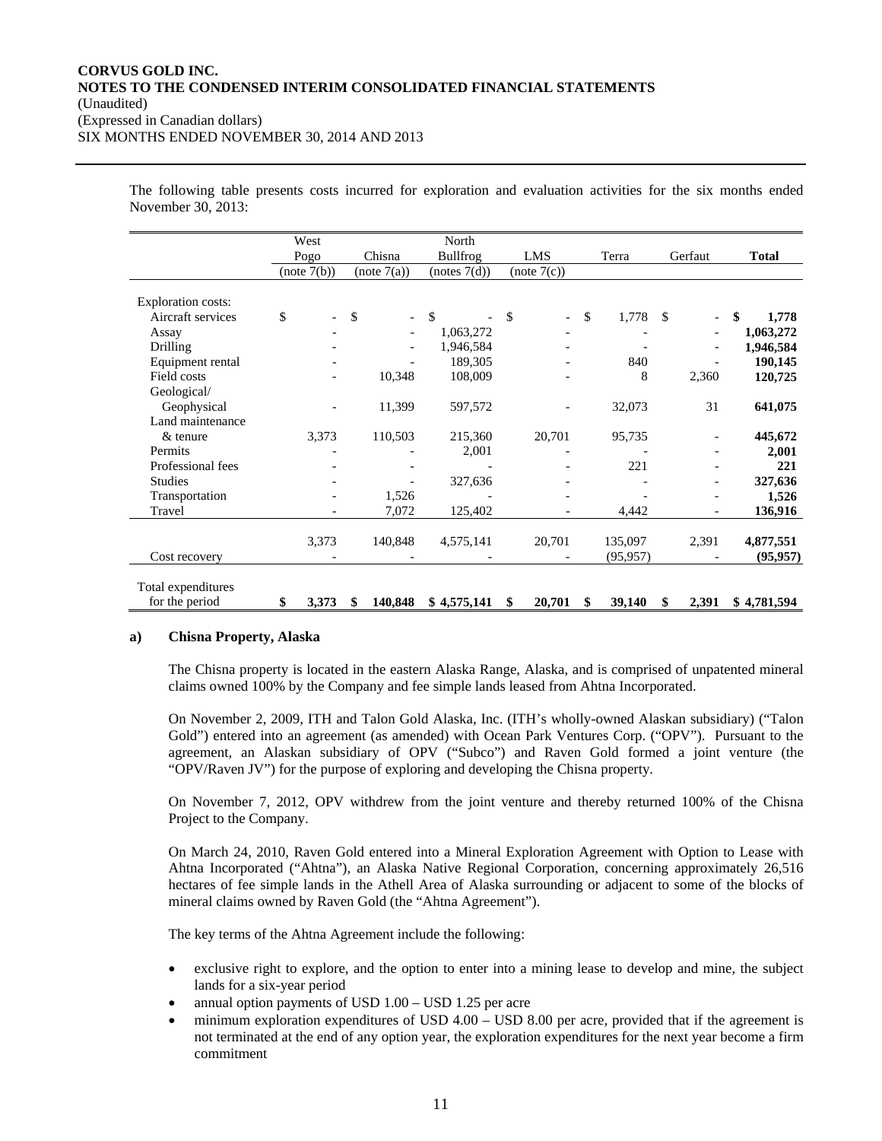The following table presents costs incurred for exploration and evaluation activities for the six months ended November 30, 2013:

|                    | West                           |                                | North           |                                |              |                                |              |
|--------------------|--------------------------------|--------------------------------|-----------------|--------------------------------|--------------|--------------------------------|--------------|
|                    | Pogo                           | Chisna                         | <b>Bullfrog</b> | LMS                            | Terra        | Gerfaut                        | <b>Total</b> |
|                    | (note 7(b))                    | (note 7(a))                    | (notes 7(d))    | (note 7(c))                    |              |                                |              |
|                    |                                |                                |                 |                                |              |                                |              |
| Exploration costs: |                                |                                |                 |                                |              |                                |              |
| Aircraft services  | \$<br>$\overline{\phantom{0}}$ | \$<br>$\overline{\phantom{a}}$ | \$              | \$<br>$\overline{\phantom{a}}$ | \$<br>1,778  | \$<br>$\overline{\phantom{0}}$ | \$<br>1,778  |
| Assay              |                                | $\overline{\phantom{0}}$       | 1,063,272       |                                |              |                                | 1,063,272    |
| Drilling           |                                |                                | 1,946,584       |                                |              |                                | 1,946,584    |
| Equipment rental   |                                |                                | 189,305         |                                | 840          |                                | 190,145      |
| Field costs        |                                | 10,348                         | 108,009         |                                | 8            | 2,360                          | 120,725      |
| Geological/        |                                |                                |                 |                                |              |                                |              |
| Geophysical        |                                | 11,399                         | 597,572         |                                | 32,073       | 31                             | 641,075      |
| Land maintenance   |                                |                                |                 |                                |              |                                |              |
| $&$ tenure         | 3,373                          | 110,503                        | 215,360         | 20,701                         | 95,735       |                                | 445,672      |
| Permits            |                                |                                | 2,001           |                                |              |                                | 2,001        |
| Professional fees  |                                |                                |                 |                                | 221          |                                | 221          |
| <b>Studies</b>     |                                |                                | 327,636         |                                |              |                                | 327,636      |
| Transportation     |                                | 1,526                          |                 |                                |              |                                | 1,526        |
| Travel             |                                | 7,072                          | 125,402         |                                | 4,442        |                                | 136,916      |
|                    |                                |                                |                 |                                |              |                                |              |
|                    | 3,373                          | 140,848                        | 4,575,141       | 20,701                         | 135,097      | 2,391                          | 4,877,551    |
| Cost recovery      |                                |                                |                 |                                | (95, 957)    |                                | (95, 957)    |
|                    |                                |                                |                 |                                |              |                                |              |
| Total expenditures |                                |                                |                 |                                |              |                                |              |
| for the period     | \$<br>3,373                    | \$<br>140,848                  | \$4,575,141     | \$<br>20,701                   | \$<br>39,140 | \$<br>2,391                    | \$4,781,594  |

### **a) Chisna Property, Alaska**

The Chisna property is located in the eastern Alaska Range, Alaska, and is comprised of unpatented mineral claims owned 100% by the Company and fee simple lands leased from Ahtna Incorporated.

On November 2, 2009, ITH and Talon Gold Alaska, Inc. (ITH's wholly-owned Alaskan subsidiary) ("Talon Gold") entered into an agreement (as amended) with Ocean Park Ventures Corp. ("OPV"). Pursuant to the agreement, an Alaskan subsidiary of OPV ("Subco") and Raven Gold formed a joint venture (the "OPV/Raven JV") for the purpose of exploring and developing the Chisna property.

On November 7, 2012, OPV withdrew from the joint venture and thereby returned 100% of the Chisna Project to the Company.

On March 24, 2010, Raven Gold entered into a Mineral Exploration Agreement with Option to Lease with Ahtna Incorporated ("Ahtna"), an Alaska Native Regional Corporation, concerning approximately 26,516 hectares of fee simple lands in the Athell Area of Alaska surrounding or adjacent to some of the blocks of mineral claims owned by Raven Gold (the "Ahtna Agreement").

The key terms of the Ahtna Agreement include the following:

- exclusive right to explore, and the option to enter into a mining lease to develop and mine, the subject lands for a six-year period
- annual option payments of USD 1.00 USD 1.25 per acre
- minimum exploration expenditures of USD 4.00 USD 8.00 per acre, provided that if the agreement is not terminated at the end of any option year, the exploration expenditures for the next year become a firm commitment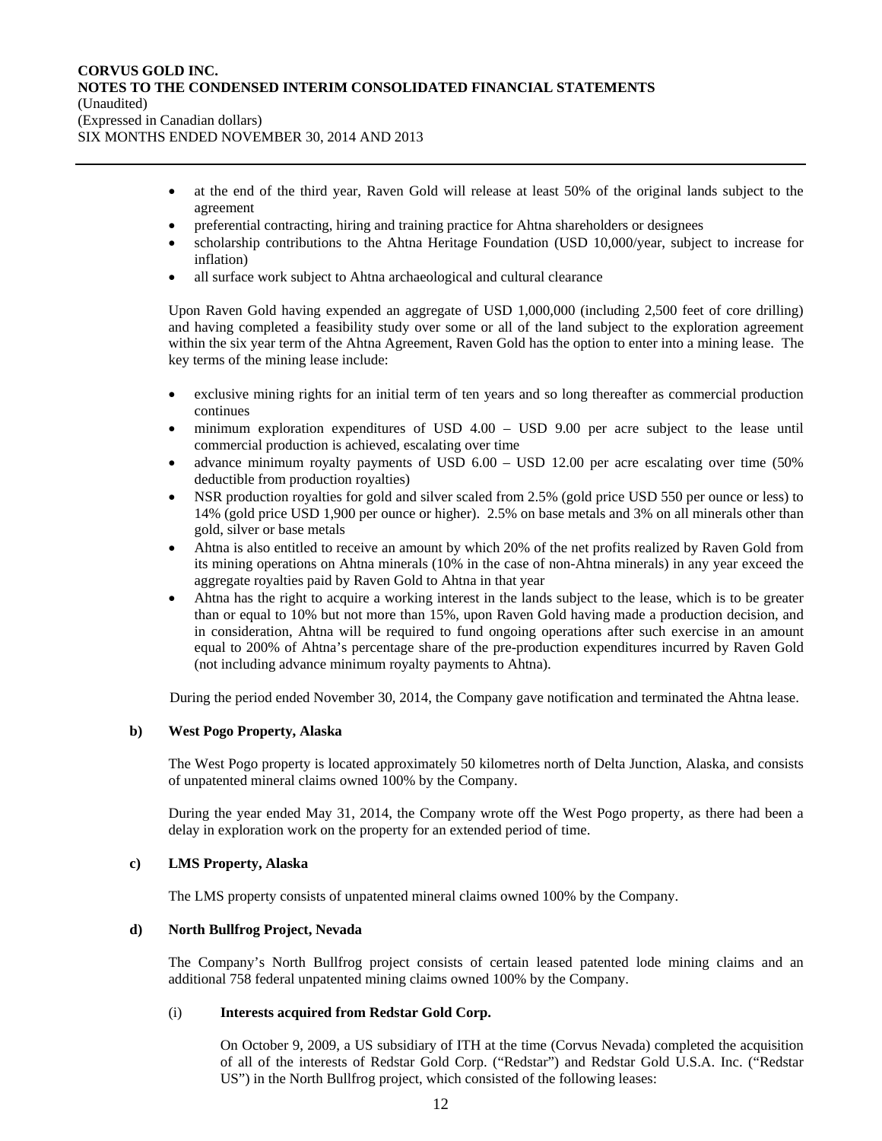- at the end of the third year, Raven Gold will release at least 50% of the original lands subject to the agreement
- preferential contracting, hiring and training practice for Ahtna shareholders or designees
- scholarship contributions to the Ahtna Heritage Foundation (USD 10,000/year, subject to increase for inflation)
- all surface work subject to Ahtna archaeological and cultural clearance

Upon Raven Gold having expended an aggregate of USD 1,000,000 (including 2,500 feet of core drilling) and having completed a feasibility study over some or all of the land subject to the exploration agreement within the six year term of the Ahtna Agreement, Raven Gold has the option to enter into a mining lease. The key terms of the mining lease include:

- exclusive mining rights for an initial term of ten years and so long thereafter as commercial production continues
- minimum exploration expenditures of USD 4.00 USD 9.00 per acre subject to the lease until commercial production is achieved, escalating over time
- advance minimum royalty payments of USD 6.00 USD 12.00 per acre escalating over time (50% deductible from production royalties)
- NSR production royalties for gold and silver scaled from 2.5% (gold price USD 550 per ounce or less) to 14% (gold price USD 1,900 per ounce or higher). 2.5% on base metals and 3% on all minerals other than gold, silver or base metals
- Ahtna is also entitled to receive an amount by which 20% of the net profits realized by Raven Gold from its mining operations on Ahtna minerals (10% in the case of non-Ahtna minerals) in any year exceed the aggregate royalties paid by Raven Gold to Ahtna in that year
- Ahtna has the right to acquire a working interest in the lands subject to the lease, which is to be greater than or equal to 10% but not more than 15%, upon Raven Gold having made a production decision, and in consideration, Ahtna will be required to fund ongoing operations after such exercise in an amount equal to 200% of Ahtna's percentage share of the pre-production expenditures incurred by Raven Gold (not including advance minimum royalty payments to Ahtna).

During the period ended November 30, 2014, the Company gave notification and terminated the Ahtna lease.

### **b) West Pogo Property, Alaska**

The West Pogo property is located approximately 50 kilometres north of Delta Junction, Alaska, and consists of unpatented mineral claims owned 100% by the Company.

During the year ended May 31, 2014, the Company wrote off the West Pogo property, as there had been a delay in exploration work on the property for an extended period of time.

## **c) LMS Property, Alaska**

The LMS property consists of unpatented mineral claims owned 100% by the Company.

## **d) North Bullfrog Project, Nevada**

The Company's North Bullfrog project consists of certain leased patented lode mining claims and an additional 758 federal unpatented mining claims owned 100% by the Company.

## (i) **Interests acquired from Redstar Gold Corp.**

On October 9, 2009, a US subsidiary of ITH at the time (Corvus Nevada) completed the acquisition of all of the interests of Redstar Gold Corp. ("Redstar") and Redstar Gold U.S.A. Inc. ("Redstar US") in the North Bullfrog project, which consisted of the following leases: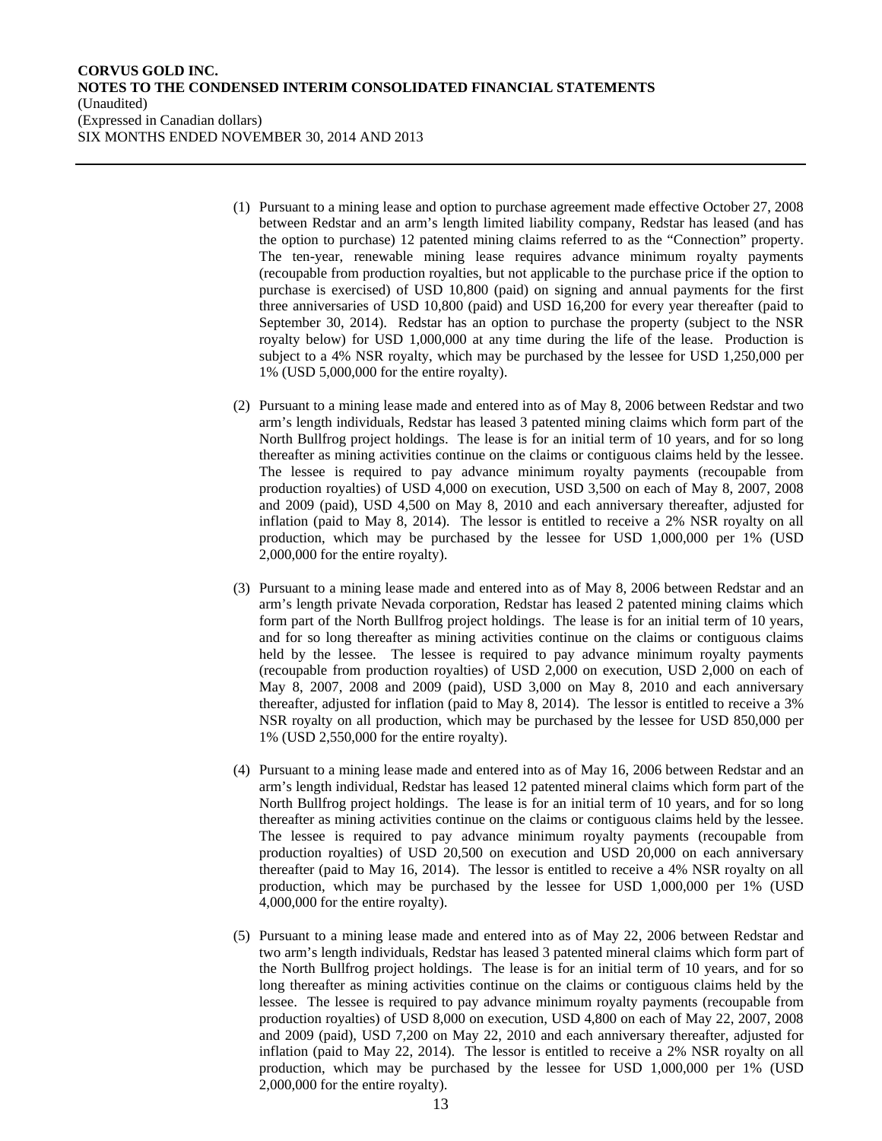- (1) Pursuant to a mining lease and option to purchase agreement made effective October 27, 2008 between Redstar and an arm's length limited liability company, Redstar has leased (and has the option to purchase) 12 patented mining claims referred to as the "Connection" property. The ten-year, renewable mining lease requires advance minimum royalty payments (recoupable from production royalties, but not applicable to the purchase price if the option to purchase is exercised) of USD 10,800 (paid) on signing and annual payments for the first three anniversaries of USD 10,800 (paid) and USD 16,200 for every year thereafter (paid to September 30, 2014). Redstar has an option to purchase the property (subject to the NSR royalty below) for USD 1,000,000 at any time during the life of the lease. Production is subject to a 4% NSR royalty, which may be purchased by the lessee for USD 1,250,000 per 1% (USD 5,000,000 for the entire royalty).
- (2) Pursuant to a mining lease made and entered into as of May 8, 2006 between Redstar and two arm's length individuals, Redstar has leased 3 patented mining claims which form part of the North Bullfrog project holdings. The lease is for an initial term of 10 years, and for so long thereafter as mining activities continue on the claims or contiguous claims held by the lessee. The lessee is required to pay advance minimum royalty payments (recoupable from production royalties) of USD 4,000 on execution, USD 3,500 on each of May 8, 2007, 2008 and 2009 (paid), USD 4,500 on May 8, 2010 and each anniversary thereafter, adjusted for inflation (paid to May 8, 2014). The lessor is entitled to receive a 2% NSR royalty on all production, which may be purchased by the lessee for USD 1,000,000 per 1% (USD 2,000,000 for the entire royalty).
- (3) Pursuant to a mining lease made and entered into as of May 8, 2006 between Redstar and an arm's length private Nevada corporation, Redstar has leased 2 patented mining claims which form part of the North Bullfrog project holdings. The lease is for an initial term of 10 years, and for so long thereafter as mining activities continue on the claims or contiguous claims held by the lessee. The lessee is required to pay advance minimum royalty payments (recoupable from production royalties) of USD 2,000 on execution, USD 2,000 on each of May 8, 2007, 2008 and 2009 (paid), USD 3,000 on May 8, 2010 and each anniversary thereafter, adjusted for inflation (paid to May 8, 2014). The lessor is entitled to receive a 3% NSR royalty on all production, which may be purchased by the lessee for USD 850,000 per 1% (USD 2,550,000 for the entire royalty).
- (4) Pursuant to a mining lease made and entered into as of May 16, 2006 between Redstar and an arm's length individual, Redstar has leased 12 patented mineral claims which form part of the North Bullfrog project holdings. The lease is for an initial term of 10 years, and for so long thereafter as mining activities continue on the claims or contiguous claims held by the lessee. The lessee is required to pay advance minimum royalty payments (recoupable from production royalties) of USD 20,500 on execution and USD 20,000 on each anniversary thereafter (paid to May 16, 2014). The lessor is entitled to receive a 4% NSR royalty on all production, which may be purchased by the lessee for USD 1,000,000 per 1% (USD 4,000,000 for the entire royalty).
- (5) Pursuant to a mining lease made and entered into as of May 22, 2006 between Redstar and two arm's length individuals, Redstar has leased 3 patented mineral claims which form part of the North Bullfrog project holdings. The lease is for an initial term of 10 years, and for so long thereafter as mining activities continue on the claims or contiguous claims held by the lessee. The lessee is required to pay advance minimum royalty payments (recoupable from production royalties) of USD 8,000 on execution, USD 4,800 on each of May 22, 2007, 2008 and 2009 (paid), USD 7,200 on May 22, 2010 and each anniversary thereafter, adjusted for inflation (paid to May 22, 2014). The lessor is entitled to receive a 2% NSR royalty on all production, which may be purchased by the lessee for USD 1,000,000 per 1% (USD 2,000,000 for the entire royalty).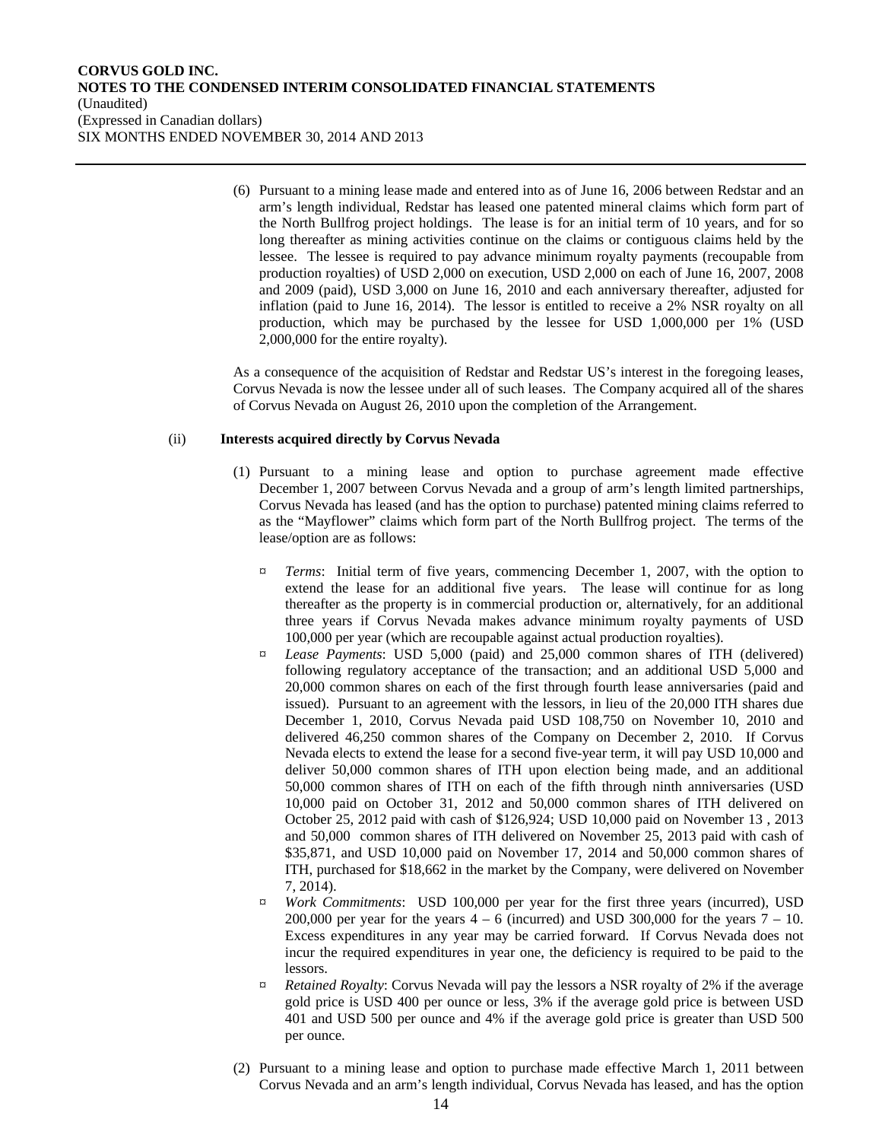(6) Pursuant to a mining lease made and entered into as of June 16, 2006 between Redstar and an arm's length individual, Redstar has leased one patented mineral claims which form part of the North Bullfrog project holdings. The lease is for an initial term of 10 years, and for so long thereafter as mining activities continue on the claims or contiguous claims held by the lessee. The lessee is required to pay advance minimum royalty payments (recoupable from production royalties) of USD 2,000 on execution, USD 2,000 on each of June 16, 2007, 2008 and 2009 (paid), USD 3,000 on June 16, 2010 and each anniversary thereafter, adjusted for inflation (paid to June 16, 2014). The lessor is entitled to receive a 2% NSR royalty on all production, which may be purchased by the lessee for USD 1,000,000 per 1% (USD 2,000,000 for the entire royalty).

As a consequence of the acquisition of Redstar and Redstar US's interest in the foregoing leases, Corvus Nevada is now the lessee under all of such leases. The Company acquired all of the shares of Corvus Nevada on August 26, 2010 upon the completion of the Arrangement.

#### (ii) **Interests acquired directly by Corvus Nevada**

- (1) Pursuant to a mining lease and option to purchase agreement made effective December 1, 2007 between Corvus Nevada and a group of arm's length limited partnerships, Corvus Nevada has leased (and has the option to purchase) patented mining claims referred to as the "Mayflower" claims which form part of the North Bullfrog project. The terms of the lease/option are as follows:
	- ¤ *Terms*: Initial term of five years, commencing December 1, 2007, with the option to extend the lease for an additional five years. The lease will continue for as long thereafter as the property is in commercial production or, alternatively, for an additional three years if Corvus Nevada makes advance minimum royalty payments of USD 100,000 per year (which are recoupable against actual production royalties).
	- ¤ *Lease Payments*: USD 5,000 (paid) and 25,000 common shares of ITH (delivered) following regulatory acceptance of the transaction; and an additional USD 5,000 and 20,000 common shares on each of the first through fourth lease anniversaries (paid and issued). Pursuant to an agreement with the lessors, in lieu of the 20,000 ITH shares due December 1, 2010, Corvus Nevada paid USD 108,750 on November 10, 2010 and delivered 46,250 common shares of the Company on December 2, 2010. If Corvus Nevada elects to extend the lease for a second five-year term, it will pay USD 10,000 and deliver 50,000 common shares of ITH upon election being made, and an additional 50,000 common shares of ITH on each of the fifth through ninth anniversaries (USD 10,000 paid on October 31, 2012 and 50,000 common shares of ITH delivered on October 25, 2012 paid with cash of \$126,924; USD 10,000 paid on November 13 , 2013 and 50,000 common shares of ITH delivered on November 25, 2013 paid with cash of \$35,871, and USD 10,000 paid on November 17, 2014 and 50,000 common shares of ITH, purchased for \$18,662 in the market by the Company, were delivered on November 7, 2014).
	- ¤ *Work Commitments*: USD 100,000 per year for the first three years (incurred), USD 200,000 per year for the years  $4 - 6$  (incurred) and USD 300,000 for the years  $7 - 10$ . Excess expenditures in any year may be carried forward. If Corvus Nevada does not incur the required expenditures in year one, the deficiency is required to be paid to the lessors.
	- ¤ *Retained Royalty*: Corvus Nevada will pay the lessors a NSR royalty of 2% if the average gold price is USD 400 per ounce or less, 3% if the average gold price is between USD 401 and USD 500 per ounce and 4% if the average gold price is greater than USD 500 per ounce.
- (2) Pursuant to a mining lease and option to purchase made effective March 1, 2011 between Corvus Nevada and an arm's length individual, Corvus Nevada has leased, and has the option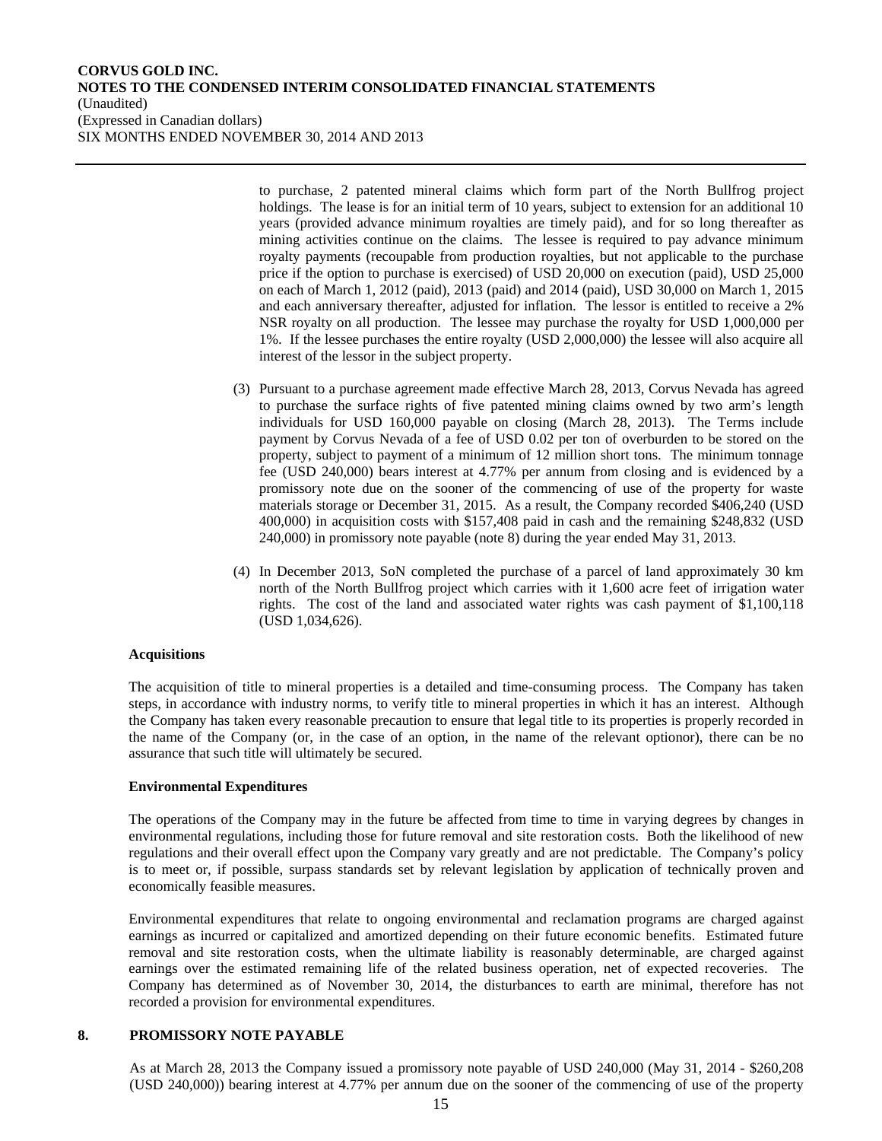to purchase, 2 patented mineral claims which form part of the North Bullfrog project holdings. The lease is for an initial term of 10 years, subject to extension for an additional 10 years (provided advance minimum royalties are timely paid), and for so long thereafter as mining activities continue on the claims. The lessee is required to pay advance minimum royalty payments (recoupable from production royalties, but not applicable to the purchase price if the option to purchase is exercised) of USD 20,000 on execution (paid), USD 25,000 on each of March 1, 2012 (paid), 2013 (paid) and 2014 (paid), USD 30,000 on March 1, 2015 and each anniversary thereafter, adjusted for inflation. The lessor is entitled to receive a 2% NSR royalty on all production. The lessee may purchase the royalty for USD 1,000,000 per 1%. If the lessee purchases the entire royalty (USD 2,000,000) the lessee will also acquire all interest of the lessor in the subject property.

- (3) Pursuant to a purchase agreement made effective March 28, 2013, Corvus Nevada has agreed to purchase the surface rights of five patented mining claims owned by two arm's length individuals for USD 160,000 payable on closing (March 28, 2013). The Terms include payment by Corvus Nevada of a fee of USD 0.02 per ton of overburden to be stored on the property, subject to payment of a minimum of 12 million short tons. The minimum tonnage fee (USD 240,000) bears interest at 4.77% per annum from closing and is evidenced by a promissory note due on the sooner of the commencing of use of the property for waste materials storage or December 31, 2015. As a result, the Company recorded \$406,240 (USD 400,000) in acquisition costs with \$157,408 paid in cash and the remaining \$248,832 (USD 240,000) in promissory note payable (note 8) during the year ended May 31, 2013.
- (4) In December 2013, SoN completed the purchase of a parcel of land approximately 30 km north of the North Bullfrog project which carries with it 1,600 acre feet of irrigation water rights. The cost of the land and associated water rights was cash payment of \$1,100,118 (USD 1,034,626).

### **Acquisitions**

The acquisition of title to mineral properties is a detailed and time-consuming process. The Company has taken steps, in accordance with industry norms, to verify title to mineral properties in which it has an interest. Although the Company has taken every reasonable precaution to ensure that legal title to its properties is properly recorded in the name of the Company (or, in the case of an option, in the name of the relevant optionor), there can be no assurance that such title will ultimately be secured.

### **Environmental Expenditures**

The operations of the Company may in the future be affected from time to time in varying degrees by changes in environmental regulations, including those for future removal and site restoration costs. Both the likelihood of new regulations and their overall effect upon the Company vary greatly and are not predictable. The Company's policy is to meet or, if possible, surpass standards set by relevant legislation by application of technically proven and economically feasible measures.

Environmental expenditures that relate to ongoing environmental and reclamation programs are charged against earnings as incurred or capitalized and amortized depending on their future economic benefits. Estimated future removal and site restoration costs, when the ultimate liability is reasonably determinable, are charged against earnings over the estimated remaining life of the related business operation, net of expected recoveries. The Company has determined as of November 30, 2014, the disturbances to earth are minimal, therefore has not recorded a provision for environmental expenditures.

#### **8. PROMISSORY NOTE PAYABLE**

As at March 28, 2013 the Company issued a promissory note payable of USD 240,000 (May 31, 2014 - \$260,208 (USD 240,000)) bearing interest at 4.77% per annum due on the sooner of the commencing of use of the property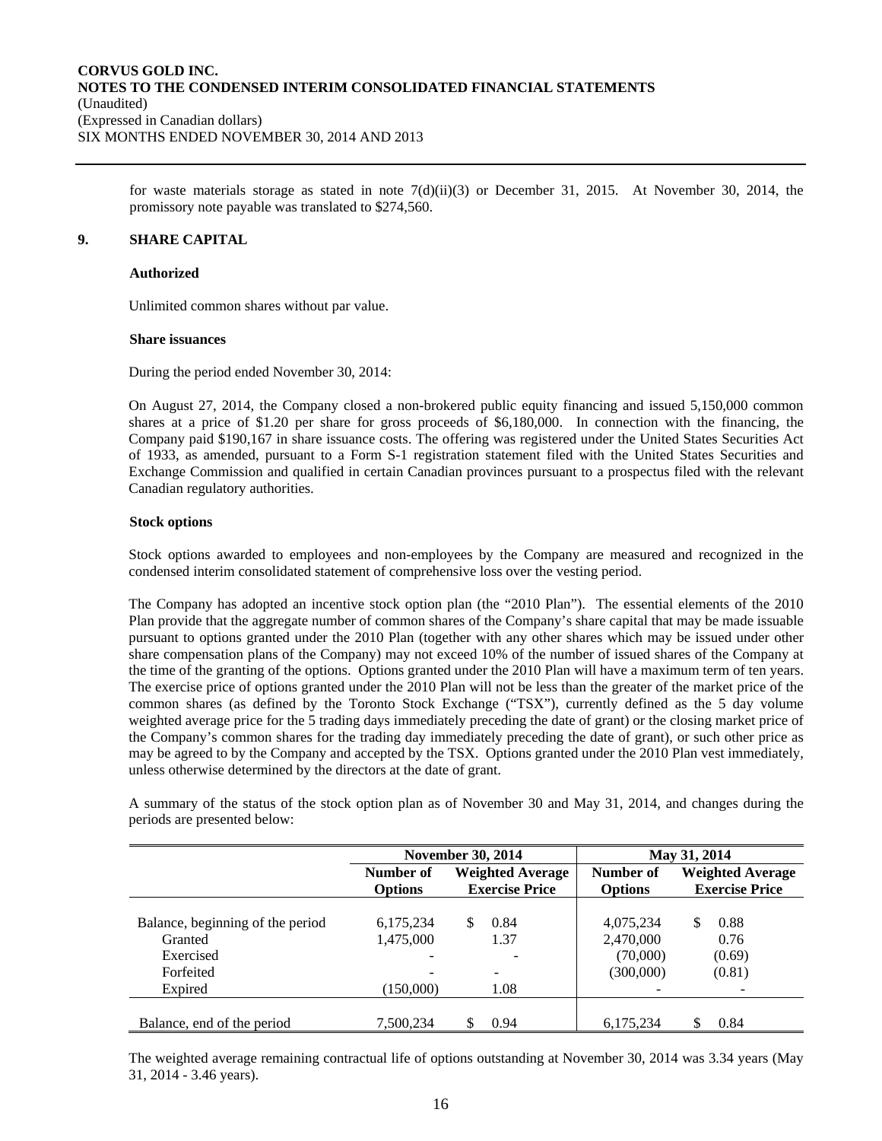for waste materials storage as stated in note  $7(d)(ii)(3)$  or December 31, 2015. At November 30, 2014, the promissory note payable was translated to \$274,560.

## **9. SHARE CAPITAL**

#### **Authorized**

Unlimited common shares without par value.

#### **Share issuances**

During the period ended November 30, 2014:

On August 27, 2014, the Company closed a non-brokered public equity financing and issued 5,150,000 common shares at a price of \$1.20 per share for gross proceeds of \$6,180,000. In connection with the financing, the Company paid \$190,167 in share issuance costs. The offering was registered under the United States Securities Act of 1933, as amended, pursuant to a Form S-1 registration statement filed with the United States Securities and Exchange Commission and qualified in certain Canadian provinces pursuant to a prospectus filed with the relevant Canadian regulatory authorities.

### **Stock options**

Stock options awarded to employees and non-employees by the Company are measured and recognized in the condensed interim consolidated statement of comprehensive loss over the vesting period.

The Company has adopted an incentive stock option plan (the "2010 Plan"). The essential elements of the 2010 Plan provide that the aggregate number of common shares of the Company's share capital that may be made issuable pursuant to options granted under the 2010 Plan (together with any other shares which may be issued under other share compensation plans of the Company) may not exceed 10% of the number of issued shares of the Company at the time of the granting of the options. Options granted under the 2010 Plan will have a maximum term of ten years. The exercise price of options granted under the 2010 Plan will not be less than the greater of the market price of the common shares (as defined by the Toronto Stock Exchange ("TSX"), currently defined as the 5 day volume weighted average price for the 5 trading days immediately preceding the date of grant) or the closing market price of the Company's common shares for the trading day immediately preceding the date of grant), or such other price as may be agreed to by the Company and accepted by the TSX. Options granted under the 2010 Plan vest immediately, unless otherwise determined by the directors at the date of grant.

A summary of the status of the stock option plan as of November 30 and May 31, 2014, and changes during the periods are presented below:

|                                  |                                      | <b>November 30, 2014</b> |                | May 31, 2014            |
|----------------------------------|--------------------------------------|--------------------------|----------------|-------------------------|
|                                  | <b>Weighted Average</b><br>Number of |                          | Number of      | <b>Weighted Average</b> |
|                                  | <b>Options</b>                       | <b>Exercise Price</b>    | <b>Options</b> | <b>Exercise Price</b>   |
|                                  |                                      |                          |                |                         |
| Balance, beginning of the period | 6,175,234                            | 0.84<br>S                | 4,075,234      | 0.88<br>S               |
| Granted                          | 1,475,000                            | 1.37                     | 2,470,000      | 0.76                    |
| Exercised                        | -                                    |                          | (70,000)       | (0.69)                  |
| Forfeited                        | -                                    | $\qquad \qquad -$        | (300,000)      | (0.81)                  |
| Expired                          | (150,000)                            | 1.08                     |                |                         |
|                                  |                                      |                          |                |                         |
| Balance, end of the period       | 7.500.234                            | 0.94                     | 6.175.234      | 0.84                    |

The weighted average remaining contractual life of options outstanding at November 30, 2014 was 3.34 years (May 31, 2014 - 3.46 years).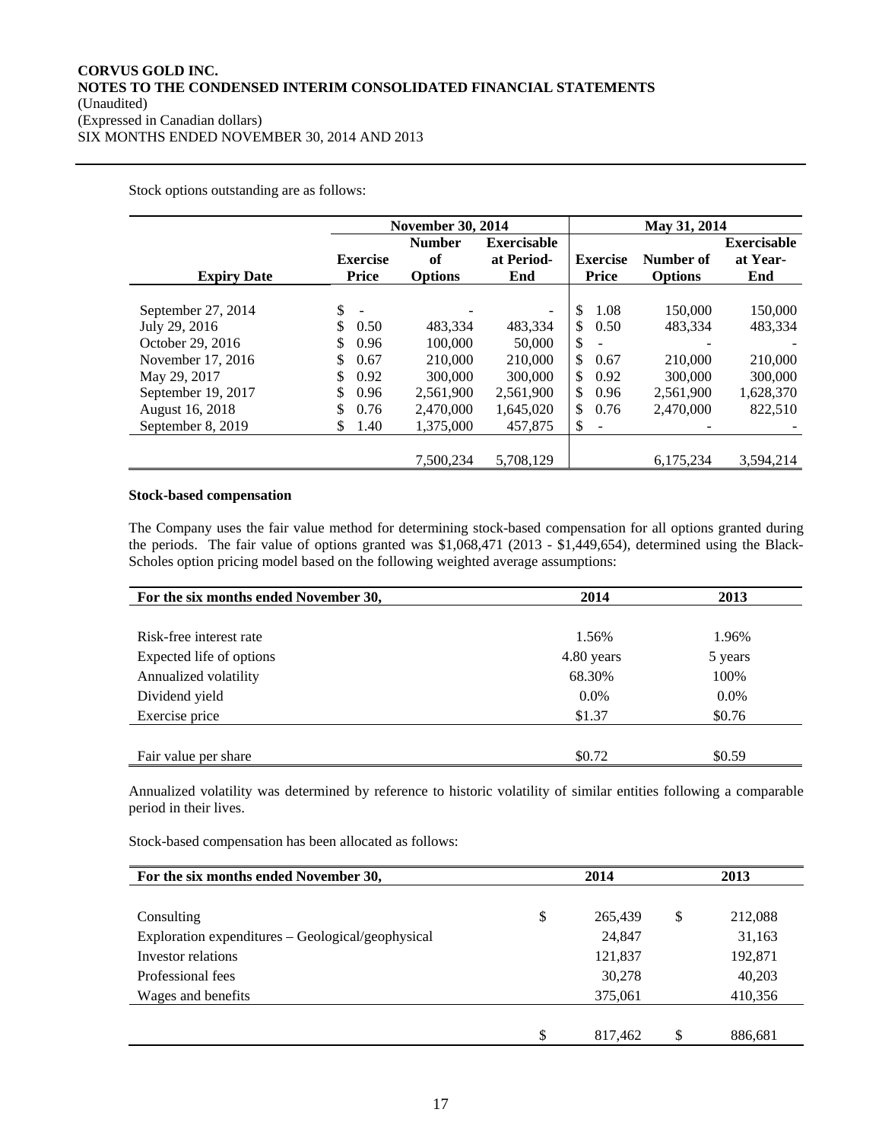Stock options outstanding are as follows:

|                                                            |                                        | <b>November 30, 2014</b>              |                                         |                                                             | May 31, 2014                |                                       |
|------------------------------------------------------------|----------------------------------------|---------------------------------------|-----------------------------------------|-------------------------------------------------------------|-----------------------------|---------------------------------------|
| <b>Expiry Date</b>                                         | <b>Exercise</b><br>Price               | <b>Number</b><br>of<br><b>Options</b> | <b>Exercisable</b><br>at Period-<br>End | <b>Exercise</b><br>Price                                    | Number of<br><b>Options</b> | <b>Exercisable</b><br>at Year-<br>End |
| September 27, 2014<br>July 29, 2016                        | \$<br>\$<br>0.50                       | 483.334                               | $\overline{\phantom{a}}$<br>483,334     | \$<br>1.08<br>\$<br>0.50                                    | 150,000<br>483,334          | 150,000<br>483,334                    |
| October 29, 2016<br>November 17, 2016<br>May 29, 2017      | \$<br>0.96<br>\$<br>0.67<br>\$<br>0.92 | 100,000<br>210,000<br>300,000         | 50,000<br>210,000<br>300,000            | \$<br>$\overline{\phantom{0}}$<br>\$<br>0.67<br>\$<br>0.92  | 210,000<br>300,000          | 210,000<br>300,000                    |
| September 19, 2017<br>August 16, 2018<br>September 8, 2019 | \$<br>0.96<br>\$<br>0.76<br>1.40<br>S  | 2,561,900<br>2,470,000<br>1,375,000   | 2,561,900<br>1,645,020<br>457,875       | \$.<br>0.96<br>\$<br>0.76<br>\$<br>$\overline{\phantom{a}}$ | 2,561,900<br>2.470,000      | 1,628,370<br>822,510                  |
|                                                            |                                        | 7,500,234                             | 5,708,129                               |                                                             | 6,175,234                   | 3,594,214                             |

## **Stock-based compensation**

The Company uses the fair value method for determining stock-based compensation for all options granted during the periods. The fair value of options granted was \$1,068,471 (2013 - \$1,449,654), determined using the Black-Scholes option pricing model based on the following weighted average assumptions:

| For the six months ended November 30, | 2014       | 2013    |
|---------------------------------------|------------|---------|
|                                       |            |         |
| Risk-free interest rate               | 1.56%      | 1.96%   |
| Expected life of options              | 4.80 years | 5 years |
| Annualized volatility                 | 68.30%     | 100%    |
| Dividend yield                        | $0.0\%$    | $0.0\%$ |
| Exercise price                        | \$1.37     | \$0.76  |
|                                       |            |         |
| Fair value per share                  | \$0.72     | \$0.59  |

Annualized volatility was determined by reference to historic volatility of similar entities following a comparable period in their lives.

Stock-based compensation has been allocated as follows:

| For the six months ended November 30,             | 2014 |         | 2013          |  |
|---------------------------------------------------|------|---------|---------------|--|
|                                                   |      |         |               |  |
| Consulting                                        | \$   | 265,439 | \$<br>212,088 |  |
| Exploration expenditures - Geological/geophysical |      | 24,847  | 31,163        |  |
| Investor relations                                |      | 121,837 | 192,871       |  |
| Professional fees                                 |      | 30,278  | 40,203        |  |
| Wages and benefits                                |      | 375,061 | 410,356       |  |
|                                                   |      |         |               |  |
|                                                   | \$   | 817.462 | 886,681       |  |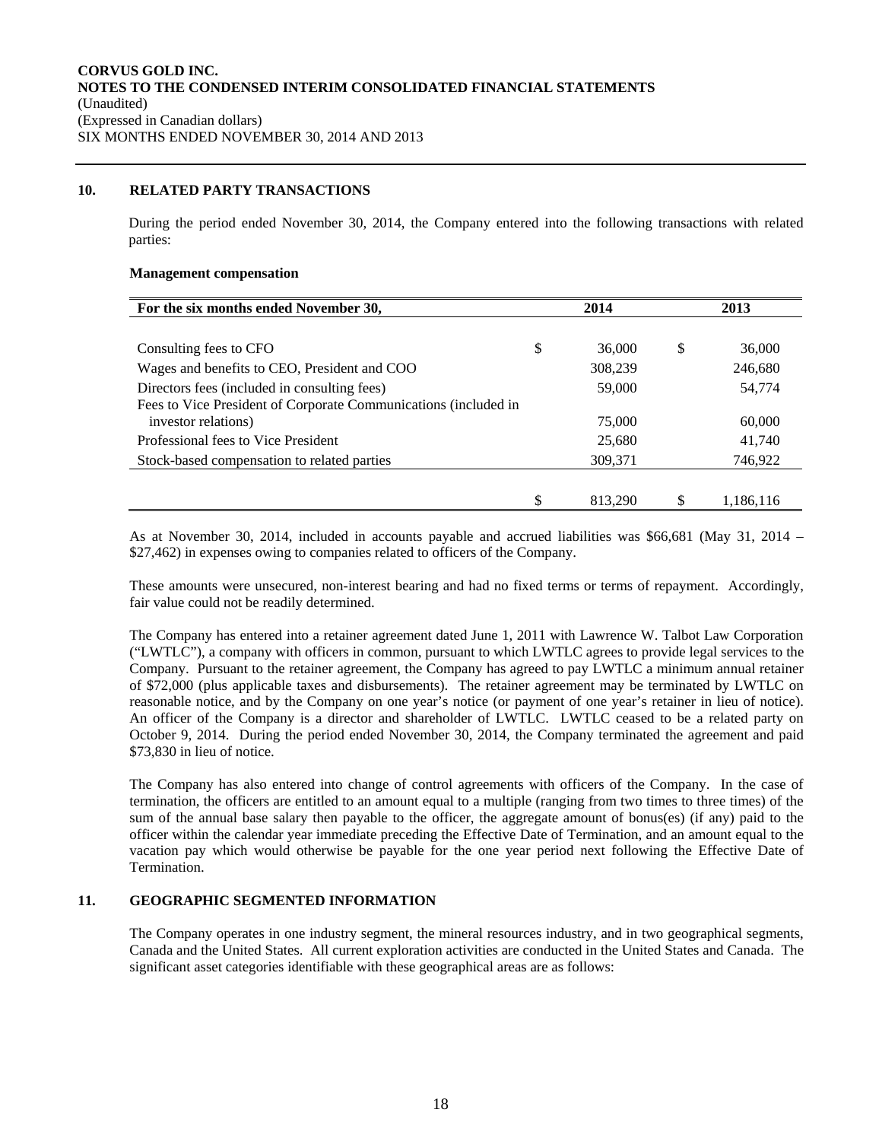## **10. RELATED PARTY TRANSACTIONS**

During the period ended November 30, 2014, the Company entered into the following transactions with related parties:

#### **Management compensation**

| For the six months ended November 30,                                                  | 2014 |         | 2013 |           |
|----------------------------------------------------------------------------------------|------|---------|------|-----------|
|                                                                                        |      |         |      |           |
| Consulting fees to CFO                                                                 | \$   | 36,000  | S    | 36,000    |
| Wages and benefits to CEO, President and COO                                           |      | 308,239 |      | 246,680   |
| Directors fees (included in consulting fees)                                           |      | 59,000  |      | 54,774    |
| Fees to Vice President of Corporate Communications (included in<br>investor relations) |      | 75,000  |      | 60,000    |
|                                                                                        |      |         |      |           |
| Professional fees to Vice President                                                    |      | 25,680  |      | 41,740    |
| Stock-based compensation to related parties                                            |      | 309,371 |      | 746,922   |
|                                                                                        |      |         |      |           |
|                                                                                        |      | 813.290 |      | 1,186,116 |

As at November 30, 2014, included in accounts payable and accrued liabilities was \$66,681 (May 31, 2014 – \$27,462) in expenses owing to companies related to officers of the Company.

These amounts were unsecured, non-interest bearing and had no fixed terms or terms of repayment. Accordingly, fair value could not be readily determined.

The Company has entered into a retainer agreement dated June 1, 2011 with Lawrence W. Talbot Law Corporation ("LWTLC"), a company with officers in common, pursuant to which LWTLC agrees to provide legal services to the Company. Pursuant to the retainer agreement, the Company has agreed to pay LWTLC a minimum annual retainer of \$72,000 (plus applicable taxes and disbursements). The retainer agreement may be terminated by LWTLC on reasonable notice, and by the Company on one year's notice (or payment of one year's retainer in lieu of notice). An officer of the Company is a director and shareholder of LWTLC. LWTLC ceased to be a related party on October 9, 2014. During the period ended November 30, 2014, the Company terminated the agreement and paid \$73,830 in lieu of notice.

The Company has also entered into change of control agreements with officers of the Company. In the case of termination, the officers are entitled to an amount equal to a multiple (ranging from two times to three times) of the sum of the annual base salary then payable to the officer, the aggregate amount of bonus(es) (if any) paid to the officer within the calendar year immediate preceding the Effective Date of Termination, and an amount equal to the vacation pay which would otherwise be payable for the one year period next following the Effective Date of Termination.

### **11. GEOGRAPHIC SEGMENTED INFORMATION**

The Company operates in one industry segment, the mineral resources industry, and in two geographical segments, Canada and the United States. All current exploration activities are conducted in the United States and Canada. The significant asset categories identifiable with these geographical areas are as follows: